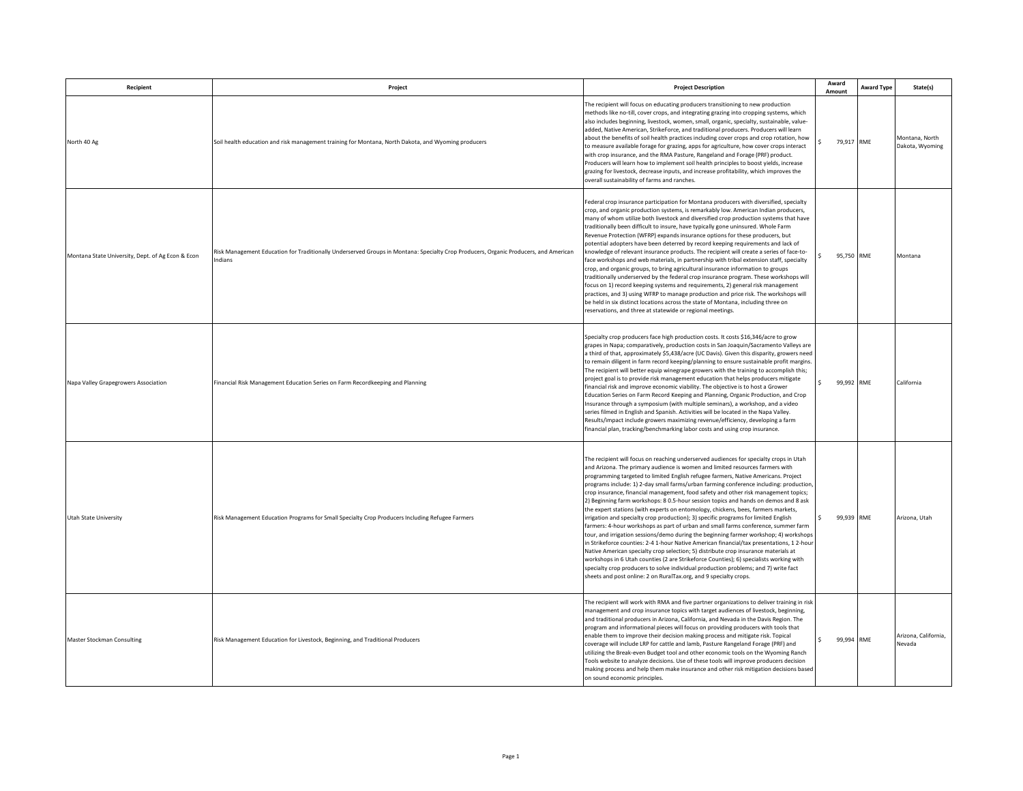| Recipient                                         | Project                                                                                                                                         | <b>Project Description</b>                                                                                                                                                                                                                                                                                                                                                                                                                                                                                                                                                                                                                                                                                                                                                                                                                                                                                                                                                                                                                                                                                                                                                                                                                                                                                                                | Award<br>Amount  | <b>Award Type</b> | State(s)                          |
|---------------------------------------------------|-------------------------------------------------------------------------------------------------------------------------------------------------|-------------------------------------------------------------------------------------------------------------------------------------------------------------------------------------------------------------------------------------------------------------------------------------------------------------------------------------------------------------------------------------------------------------------------------------------------------------------------------------------------------------------------------------------------------------------------------------------------------------------------------------------------------------------------------------------------------------------------------------------------------------------------------------------------------------------------------------------------------------------------------------------------------------------------------------------------------------------------------------------------------------------------------------------------------------------------------------------------------------------------------------------------------------------------------------------------------------------------------------------------------------------------------------------------------------------------------------------|------------------|-------------------|-----------------------------------|
| North 40 Ag                                       | Soil health education and risk management training for Montana, North Dakota, and Wyoming producers                                             | The recipient will focus on educating producers transitioning to new production<br>methods like no-till, cover crops, and integrating grazing into cropping systems, which<br>also includes beginning, livestock, women, small, organic, specialty, sustainable, value-<br>added, Native American, StrikeForce, and traditional producers. Producers will learn<br>about the benefits of soil health practices including cover crops and crop rotation, how<br>to measure available forage for grazing, apps for agriculture, how cover crops interact<br>with crop insurance, and the RMA Pasture, Rangeland and Forage (PRF) product.<br>Producers will learn how to implement soil health principles to boost yields, increase<br>grazing for livestock, decrease inputs, and increase profitability, which improves the<br>overall sustainability of farms and ranches.                                                                                                                                                                                                                                                                                                                                                                                                                                                               | 79.917 RME       |                   | Montana, North<br>Dakota, Wyoming |
| Montana State University, Dept. of Ag Econ & Econ | Risk Management Education for Traditionally Underserved Groups in Montana: Specialty Crop Producers, Organic Producers, and American<br>Indians | Federal crop insurance participation for Montana producers with diversified, specialty<br>crop, and organic production systems, is remarkably low. American Indian producers,<br>many of whom utilize both livestock and diversified crop production systems that have<br>traditionally been difficult to insure, have typically gone uninsured. Whole Farm<br>Revenue Protection (WFRP) expands insurance options for these producers, but<br>potential adopters have been deterred by record keeping requirements and lack of<br>knowledge of relevant insurance products. The recipient will create a series of face-to-<br>face workshops and web materials, in partnership with tribal extension staff, specialty<br>crop, and organic groups, to bring agricultural insurance information to groups<br>traditionally underserved by the federal crop insurance program. These workshops will<br>focus on 1) record keeping systems and requirements, 2) general risk management<br>practices, and 3) using WFRP to manage production and price risk. The workshops will<br>be held in six distinct locations across the state of Montana, including three on<br>reservations, and three at statewide or regional meetings.                                                                                                          | 95.750 RME       |                   | Montana                           |
| Napa Valley Grapegrowers Association              | Financial Risk Management Education Series on Farm Recordkeeping and Planning                                                                   | Specialty crop producers face high production costs. It costs \$16,346/acre to grow<br>grapes in Napa; comparatively, production costs in San Joaquin/Sacramento Valleys are<br>a third of that, approximately \$5,438/acre (UC Davis). Given this disparity, growers need<br>to remain diligent in farm record keeping/planning to ensure sustainable profit margins<br>The recipient will better equip winegrape growers with the training to accomplish this;<br>project goal is to provide risk management education that helps producers mitigate<br>financial risk and improve economic viability. The objective is to host a Grower<br>Education Series on Farm Record Keeping and Planning, Organic Production, and Crop<br>Insurance through a symposium (with multiple seminars), a workshop, and a video<br>series filmed in English and Spanish. Activities will be located in the Napa Valley.<br>Results/impact include growers maximizing revenue/efficiency, developing a farm<br>financial plan, tracking/benchmarking labor costs and using crop insurance.                                                                                                                                                                                                                                                             | 99,992 RME<br>¢  |                   | California                        |
| Utah State University                             | Risk Management Education Programs for Small Specialty Crop Producers Including Refugee Farmers                                                 | The recipient will focus on reaching underserved audiences for specialty crops in Utah<br>and Arizona. The primary audience is women and limited resources farmers with<br>programming targeted to limited English refugee farmers, Native Americans. Project<br>programs include: 1) 2-day small farms/urban farming conference including: production<br>crop insurance, financial management, food safety and other risk management topics;<br>2) Beginning farm workshops: 8 0.5-hour session topics and hands on demos and 8 ask<br>the expert stations (with experts on entomology, chickens, bees, farmers markets,<br>irrigation and specialty crop production); 3) specific programs for limited English<br>farmers: 4-hour workshops as part of urban and small farms conference, summer farm<br>tour, and irrigation sessions/demo during the beginning farmer workshop; 4) workshops<br>in Strikeforce counties: 2-4 1-hour Native American financial/tax presentations, 1 2-hour<br>Native American specialty crop selection; 5) distribute crop insurance materials at<br>workshops in 6 Utah counties (2 are Strikeforce Counties); 6) specialists working with<br>specialty crop producers to solve individual production problems; and 7) write fact<br>sheets and post online: 2 on RuralTax.org, and 9 specialty crops. | 99,939 RME       |                   | Arizona, Utah                     |
| Master Stockman Consulting                        | Risk Management Education for Livestock, Beginning, and Traditional Producers                                                                   | The recipient will work with RMA and five partner organizations to deliver training in risk<br>management and crop insurance topics with target audiences of livestock, beginning,<br>and traditional producers in Arizona, California, and Nevada in the Davis Region. The<br>program and informational pieces will focus on providing producers with tools that<br>enable them to improve their decision making process and mitigate risk. Topical<br>coverage will include LRP for cattle and lamb, Pasture Rangeland Forage (PRF) and<br>utilizing the Break-even Budget tool and other economic tools on the Wyoming Ranch<br>Tools website to analyze decisions. Use of these tools will improve producers decision<br>making process and help them make insurance and other risk mitigation decisions based<br>on sound economic principles.                                                                                                                                                                                                                                                                                                                                                                                                                                                                                       | 99,994 RME<br>Ś. |                   | Arizona, California,<br>Nevada    |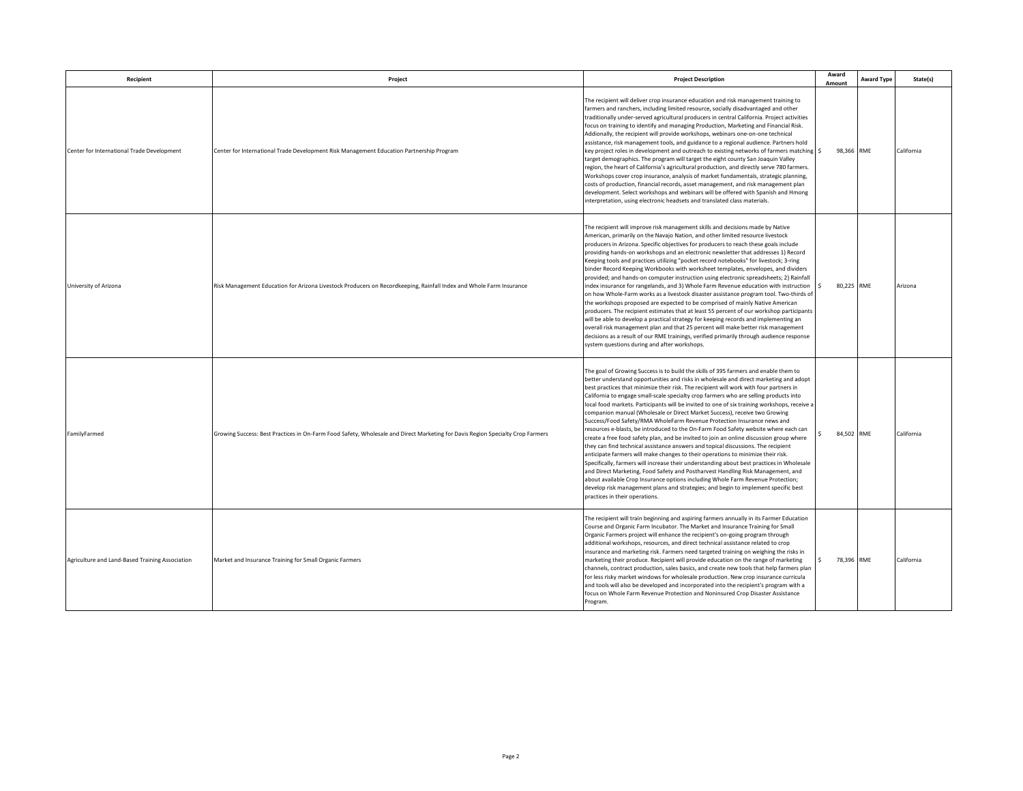| Recipient                                       | Project                                                                                                                        | <b>Project Description</b>                                                                                                                                                                                                                                                                                                                                                                                                                                                                                                                                                                                                                                                                                                                                                                                                                                                                                                                                                                                                                                                                                                                                                                                                                                                                                                                                                     | Award<br>Amount   | <b>Award Type</b> | State(s)   |
|-------------------------------------------------|--------------------------------------------------------------------------------------------------------------------------------|--------------------------------------------------------------------------------------------------------------------------------------------------------------------------------------------------------------------------------------------------------------------------------------------------------------------------------------------------------------------------------------------------------------------------------------------------------------------------------------------------------------------------------------------------------------------------------------------------------------------------------------------------------------------------------------------------------------------------------------------------------------------------------------------------------------------------------------------------------------------------------------------------------------------------------------------------------------------------------------------------------------------------------------------------------------------------------------------------------------------------------------------------------------------------------------------------------------------------------------------------------------------------------------------------------------------------------------------------------------------------------|-------------------|-------------------|------------|
| Center for International Trade Development      | Center for International Trade Development Risk Management Education Partnership Program                                       | The recipient will deliver crop insurance education and risk management training to<br>farmers and ranchers, including limited resource, socially disadvantaged and other<br>traditionally under-served agricultural producers in central California. Project activities<br>ocus on training to identify and managing Production, Marketing and Financial Risk.<br>Addionally, the recipient will provide workshops, webinars one-on-one technical<br>assistance, risk management tools, and guidance to a regional audience. Partners hold<br>key project roles in development and outreach to existing networks of farmers matching<br>target demographics. The program will target the eight county San Joaquin Valley<br>region, the heart of California's agricultural production, and directly serve 780 farmers.<br>Workshops cover crop insurance, analysis of market fundamentals, strategic planning,<br>costs of production, financial records, asset management, and risk management plan<br>development. Select workshops and webinars will be offered with Spanish and Hmong<br>interpretation, using electronic headsets and translated class materials.                                                                                                                                                                                                        | 98,366 RME        |                   | California |
| University of Arizona                           | Risk Management Education for Arizona Livestock Producers on Recordkeeping, Rainfall Index and Whole Farm Insurance            | The recipient will improve risk management skills and decisions made by Native<br>American, primarily on the Navajo Nation, and other limited resource livestock<br>producers in Arizona. Specific objectives for producers to reach these goals include<br>providing hands-on workshops and an electronic newsletter that addresses 1) Record<br>Keeping tools and practices utilizing "pocket record notebooks" for livestock; 3-ring<br>binder Record Keeping Workbooks with worksheet templates, envelopes, and dividers<br>provided; and hands-on computer instruction using electronic spreadsheets; 2) Rainfall<br>index insurance for rangelands, and 3) Whole Farm Revenue education with instruction<br>on how Whole-Farm works as a livestock disaster assistance program tool. Two-thirds of<br>the workshops proposed are expected to be comprised of mainly Native American<br>producers. The recipient estimates that at least 55 percent of our workshop participants<br>will be able to develop a practical strategy for keeping records and implementing an<br>overall risk management plan and that 25 percent will make better risk management<br>decisions as a result of our RME trainings, verified primarily through audience response<br>system questions during and after workshops.                                                                 | 80.225 RME<br>l s |                   | Arizona    |
| FamilyFarmed                                    | Growing Success: Best Practices in On-Farm Food Safety, Wholesale and Direct Marketing for Davis Region Specialty Crop Farmers | The goal of Growing Success is to build the skills of 395 farmers and enable them to<br>better understand opportunities and risks in wholesale and direct marketing and adopt<br>best practices that minimize their risk. The recipient will work with four partners in<br>California to engage small-scale specialty crop farmers who are selling products into<br>local food markets. Participants will be invited to one of six training workshops, receive a<br>companion manual (Wholesale or Direct Market Success), receive two Growing<br>Success/Food Safety/RMA WholeFarm Revenue Protection Insurance news and<br>esources e-blasts, be introduced to the On-Farm Food Safety website where each can<br>create a free food safety plan, and be invited to join an online discussion group where<br>they can find technical assistance answers and topical discussions. The recipient<br>anticipate farmers will make changes to their operations to minimize their risk.<br>Specifically, farmers will increase their understanding about best practices in Wholesale<br>and Direct Marketing, Food Safety and Postharvest Handling Risk Management, and<br>about available Crop Insurance options including Whole Farm Revenue Protection;<br>develop risk management plans and strategies; and begin to implement specific best<br>practices in their operations. | 84.502 RME        |                   | California |
| Agriculture and Land-Based Training Association | Market and Insurance Training for Small Organic Farmers                                                                        | The recipient will train beginning and aspiring farmers annually in its Farmer Education<br>Course and Organic Farm Incubator. The Market and Insurance Training for Small<br>Organic Farmers project will enhance the recipient's on-going program through<br>additional workshops, resources, and direct technical assistance related to crop<br>insurance and marketing risk. Farmers need targeted training on weighing the risks in<br>marketing their produce. Recipient will provide education on the range of marketing<br>channels, contract production, sales basics, and create new tools that help farmers plan<br>for less risky market windows for wholesale production. New crop insurance curricula<br>and tools will also be developed and incorporated into the recipient's program with a<br>focus on Whole Farm Revenue Protection and Noninsured Crop Disaster Assistance<br>Program.                                                                                                                                                                                                                                                                                                                                                                                                                                                                     | 78,396 RME        |                   | California |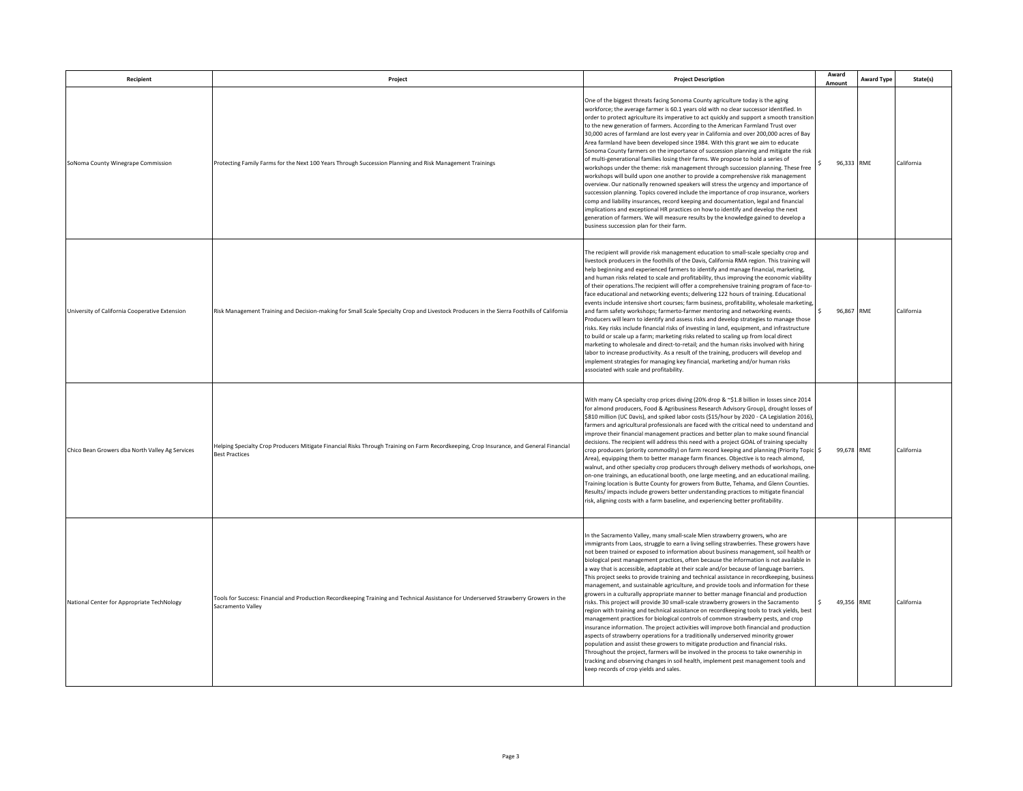| Recipient                                       | Project                                                                                                                                                          | <b>Project Description</b>                                                                                                                                                                                                                                                                                                                                                                                                                                                                                                                                                                                                                                                                                                                                                                                                                                                                                                                                                                                                                                                                                                                                                                                                                                                                                                                                                                                                                                                                               | Award<br>Amount  | <b>Award Type</b> | State(s)   |
|-------------------------------------------------|------------------------------------------------------------------------------------------------------------------------------------------------------------------|----------------------------------------------------------------------------------------------------------------------------------------------------------------------------------------------------------------------------------------------------------------------------------------------------------------------------------------------------------------------------------------------------------------------------------------------------------------------------------------------------------------------------------------------------------------------------------------------------------------------------------------------------------------------------------------------------------------------------------------------------------------------------------------------------------------------------------------------------------------------------------------------------------------------------------------------------------------------------------------------------------------------------------------------------------------------------------------------------------------------------------------------------------------------------------------------------------------------------------------------------------------------------------------------------------------------------------------------------------------------------------------------------------------------------------------------------------------------------------------------------------|------------------|-------------------|------------|
| SoNoma County Winegrape Commission              | Protecting Family Farms for the Next 100 Years Through Succession Planning and Risk Management Trainings                                                         | One of the biggest threats facing Sonoma County agriculture today is the aging<br>workforce; the average farmer is 60.1 years old with no clear successor identified. In<br>order to protect agriculture its imperative to act quickly and support a smooth transition<br>to the new generation of farmers. According to the American Farmland Trust over<br>30,000 acres of farmland are lost every year in California and over 200,000 acres of Bay<br>Area farmland have been developed since 1984. With this grant we aim to educate<br>Sonoma County farmers on the importance of succession planning and mitigate the risk<br>of multi-generational families losing their farms. We propose to hold a series of<br>workshops under the theme: risk management through succession planning. These free<br>workshops will build upon one another to provide a comprehensive risk management<br>overview. Our nationally renowned speakers will stress the urgency and importance of<br>succession planning. Topics covered include the importance of crop insurance, workers<br>comp and liability insurances, record keeping and documentation, legal and financial<br>implications and exceptional HR practices on how to identify and develop the next<br>generation of farmers. We will measure results by the knowledge gained to develop a<br>business succession plan for their farm.                                                                                                         | 96.333 RME       |                   | California |
| University of California Cooperative Extension  | Risk Management Training and Decision-making for Small Scale Specialty Crop and Livestock Producers in the Sierra Foothills of California                        | The recipient will provide risk management education to small-scale specialty crop and<br>livestock producers in the foothills of the Davis, California RMA region. This training will<br>help beginning and experienced farmers to identify and manage financial, marketing,<br>and human risks related to scale and profitability, thus improving the economic viability<br>of their operations. The recipient will offer a comprehensive training program of face-to-<br>face educational and networking events; delivering 122 hours of training. Educational<br>events include intensive short courses; farm business, profitability, wholesale marketing<br>and farm safety workshops; farmerto-farmer mentoring and networking events.<br>Producers will learn to identify and assess risks and develop strategies to manage those<br>risks. Key risks include financial risks of investing in land, equipment, and infrastructure<br>to build or scale up a farm; marketing risks related to scaling up from local direct<br>marketing to wholesale and direct-to-retail; and the human risks involved with hiring<br>labor to increase productivity. As a result of the training, producers will develop and<br>implement strategies for managing key financial, marketing and/or human risks<br>associated with scale and profitability.                                                                                                                                                       | 96,867<br>$\leq$ | RME               | California |
| Chico Bean Growers dba North Valley Ag Services | Helping Specialty Crop Producers Mitigate Financial Risks Through Training on Farm Recordkeeping, Crop Insurance, and General Financial<br><b>Best Practices</b> | With many CA specialty crop prices diving (20% drop & ~\$1.8 billion in losses since 2014<br>for almond producers, Food & Agribusiness Research Advisory Group), drought losses of<br>\$810 million (UC Davis), and spiked labor costs (\$15/hour by 2020 - CA Legislation 2016)<br>farmers and agricultural professionals are faced with the critical need to understand and<br>improve their financial management practices and better plan to make sound financial<br>decisions. The recipient will address this need with a project GOAL of training specialty<br>crop producers (priority commodity) on farm record keeping and planning (Priority Topic \$<br>Area), equipping them to better manage farm finances. Objective is to reach almond,<br>walnut, and other specialty crop producers through delivery methods of workshops, on<br>on-one trainings, an educational booth, one large meeting, and an educational mailing.<br>Training location is Butte County for growers from Butte, Tehama, and Glenn Counties.<br>Results/impacts include growers better understanding practices to mitigate financial<br>risk, aligning costs with a farm baseline, and experiencing better profitability.                                                                                                                                                                                                                                                                                          | 99,678 RME       |                   | California |
| National Center for Appropriate TechNology      | Tools for Success: Financial and Production Recordkeeping Training and Technical Assistance for Underserved Strawberry Growers in the<br>Sacramento Valley       | In the Sacramento Valley, many small-scale Mien strawberry growers, who are<br>immigrants from Laos, struggle to earn a living selling strawberries. These growers have<br>not been trained or exposed to information about business management, soil health or<br>biological pest management practices, often because the information is not available in<br>a way that is accessible, adaptable at their scale and/or because of language barriers.<br>This project seeks to provide training and technical assistance in recordkeeping, business<br>management, and sustainable agriculture, and provide tools and information for these<br>growers in a culturally appropriate manner to better manage financial and production<br>isks. This project will provide 30 small-scale strawberry growers in the Sacramento<br>region with training and technical assistance on recordkeeping tools to track yields, best<br>management practices for biological controls of common strawberry pests, and crop<br>insurance information. The project activities will improve both financial and production<br>aspects of strawberry operations for a traditionally underserved minority grower<br>population and assist these growers to mitigate production and financial risks.<br>Throughout the project, farmers will be involved in the process to take ownership in<br>tracking and observing changes in soil health, implement pest management tools and<br>keep records of crop yields and sales. | 49,356 RME       |                   | California |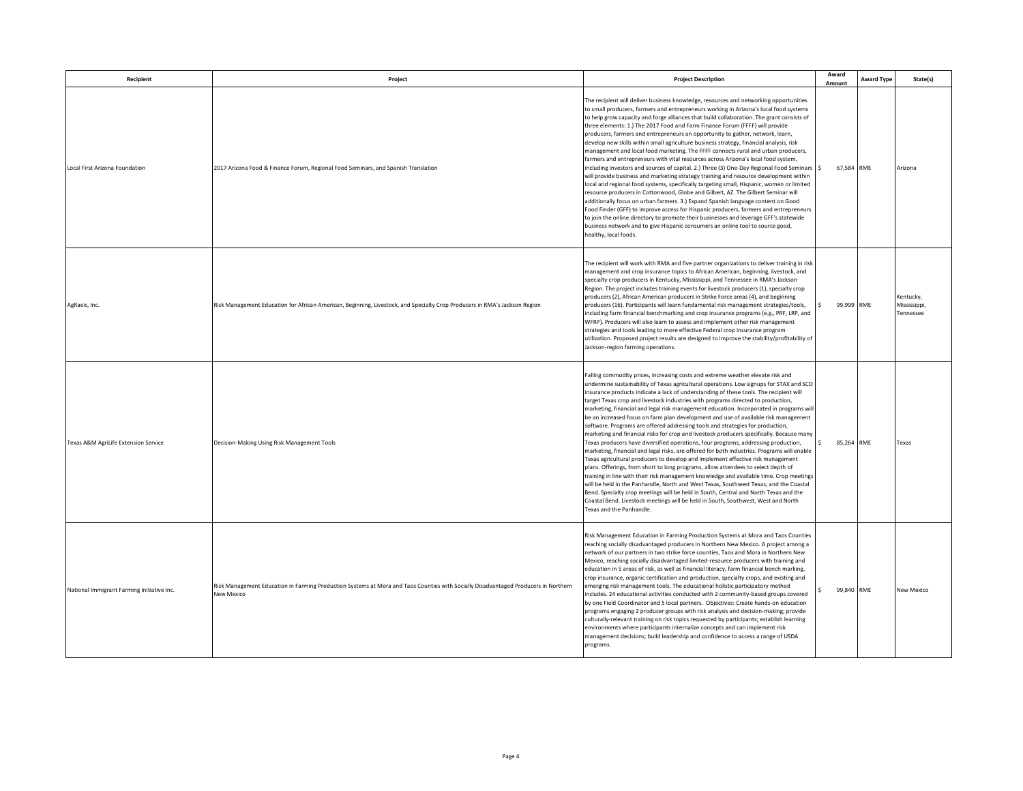| Recipient                                  | Project                                                                                                                                           | <b>Project Description</b>                                                                                                                                                                                                                                                                                                                                                                                                                                                                                                                                                                                                                                                                                                                                                                                                                                                                                                                                                                                                                                                                                                                                                                                                                                                                                                                                                                                                                                                         | Award<br>Amount  | <b>Award Type</b> | State(s)                               |
|--------------------------------------------|---------------------------------------------------------------------------------------------------------------------------------------------------|------------------------------------------------------------------------------------------------------------------------------------------------------------------------------------------------------------------------------------------------------------------------------------------------------------------------------------------------------------------------------------------------------------------------------------------------------------------------------------------------------------------------------------------------------------------------------------------------------------------------------------------------------------------------------------------------------------------------------------------------------------------------------------------------------------------------------------------------------------------------------------------------------------------------------------------------------------------------------------------------------------------------------------------------------------------------------------------------------------------------------------------------------------------------------------------------------------------------------------------------------------------------------------------------------------------------------------------------------------------------------------------------------------------------------------------------------------------------------------|------------------|-------------------|----------------------------------------|
| Local First Arizona Foundation             | 2017 Arizona Food & Finance Forum, Regional Food Seminars, and Spanish Translation                                                                | The recipient will deliver business knowledge, resources and networking opportunities<br>to small producers, farmers and entrepreneurs working in Arizona's local food systems<br>to help grow capacity and forge alliances that build collaboration. The grant consists of<br>three elements: 1.) The 2017 Food and Farm Finance Forum (FFFF) will provide<br>producers, farmers and entrepreneurs an opportunity to gather, network, learn,<br>develop new skills within small agriculture business strategy, financial analysis, risk<br>management and local food marketing. The FFFF connects rural and urban producers,<br>farmers and entrepreneurs with vital resources across Arizona's local food system,<br>including investors and sources of capital. 2.) Three (3) One-Day Regional Food Seminars \$<br>will provide business and marketing strategy training and resource development within<br>local and regional food systems, specifically targeting small, Hispanic, women or limited<br>resource producers in Cottonwood, Globe and Gilbert, AZ. The Gilbert Seminar will<br>additionally focus on urban farmers. 3.) Expand Spanish language content on Good<br>Food Finder (GFF) to improve access for Hispanic producers, farmers and entrepreneurs<br>to join the online directory to promote their businesses and leverage GFF's statewide<br>business network and to give Hispanic consumers an online tool to source good,<br>healthy, local foods.     | 67,584 RME       |                   | Arizona                                |
| AgRaeis, Inc.                              | Risk Management Education for African American, Beginning, Livestock, and Specialty Crop Producers in RMA's Jackson Region                        | The recipient will work with RMA and five partner organizations to deliver training in risk<br>management and crop insurance topics to African American, beginning, livestock, and<br>specialty crop producers in Kentucky, Mississippi, and Tennessee in RMA's Jackson<br>Region. The project includes training events for livestock producers (1), specialty crop<br>producers (2), African American producers in Strike Force areas (4), and beginning<br>producers (16). Participants will learn fundamental risk management strategies/tools,<br>including farm financial benchmarking and crop insurance programs (e.g., PRF, LRP, and<br>WFRP). Producers will also learn to assess and implement other risk management<br>strategies and tools leading to more effective Federal crop insurance program<br>utilization. Proposed project results are designed to improve the stability/profitability of<br>Jackson-region farming operations.                                                                                                                                                                                                                                                                                                                                                                                                                                                                                                                              | 99,999 RME       |                   | Kentucky,<br>Mississippi,<br>Tennessee |
| Texas A&M AgriLife Extension Service       | Decision-Making Using Risk Management Tools                                                                                                       | Falling commodity prices, increasing costs and extreme weather elevate risk and<br>undermine sustainability of Texas agricultural operations. Low signups for STAX and SCO<br>insurance products indicate a lack of understanding of these tools. The recipient will<br>target Texas crop and livestock industries with programs directed to production,<br>marketing, financial and legal risk management education. Incorporated in programs wil<br>be an increased focus on farm plan development and use of available risk management<br>software. Programs are offered addressing tools and strategies for production,<br>marketing and financial risks for crop and livestock producers specifically. Because many<br>Texas producers have diversified operations, four programs, addressing production,<br>marketing, financial and legal risks, are offered for both industries. Programs will enable<br>Texas agricultural producers to develop and implement effective risk management<br>plans. Offerings, from short to long programs, allow attendees to select depth of<br>training in line with their risk management knowledge and available time. Crop meetings<br>will be held in the Panhandle, North and West Texas, Southwest Texas, and the Coastal<br>Bend. Specialty crop meetings will be held in South, Central and North Texas and the<br>Coastal Bend. Livestock meetings will be held in South, Southwest, West and North<br>Texas and the Panhandle. | 85,264 RME<br>s. |                   | Texas                                  |
| National Immigrant Farming Initiative Inc. | Risk Management Education in Farming Production Systems at Mora and Taos Counties with Socially Disadvantaged Producers in Northern<br>New Mexico | Risk Management Education in Farming Production Systems at Mora and Taos Counties<br>reaching socially disadvantaged producers in Northern New Mexico. A project among a<br>network of our partners in two strike force counties, Taos and Mora in Northern New<br>Mexico, reaching socially disadvantaged limited-resource producers with training and<br>education in 5 areas of risk, as well as financial literacy, farm financial bench marking,<br>crop insurance, organic certification and production, specialty crops, and existing and<br>emerging risk management tools. The educational holistic participatory method<br>includes. 24 educational activities conducted with 2 community-based groups covered<br>by one Field Coordinator and 5 local partners. Objectives: Create hands-on education<br>programs engaging 2 producer groups with risk analysis and decision-making; provide<br>culturally-relevant training on risk topics requested by participants; establish learning<br>environments where participants internalize concepts and can implement risk<br>management decisions; build leadership and confidence to access a range of USDA<br>programs.                                                                                                                                                                                                                                                                                                | 99,840 RME       |                   | New Mexico                             |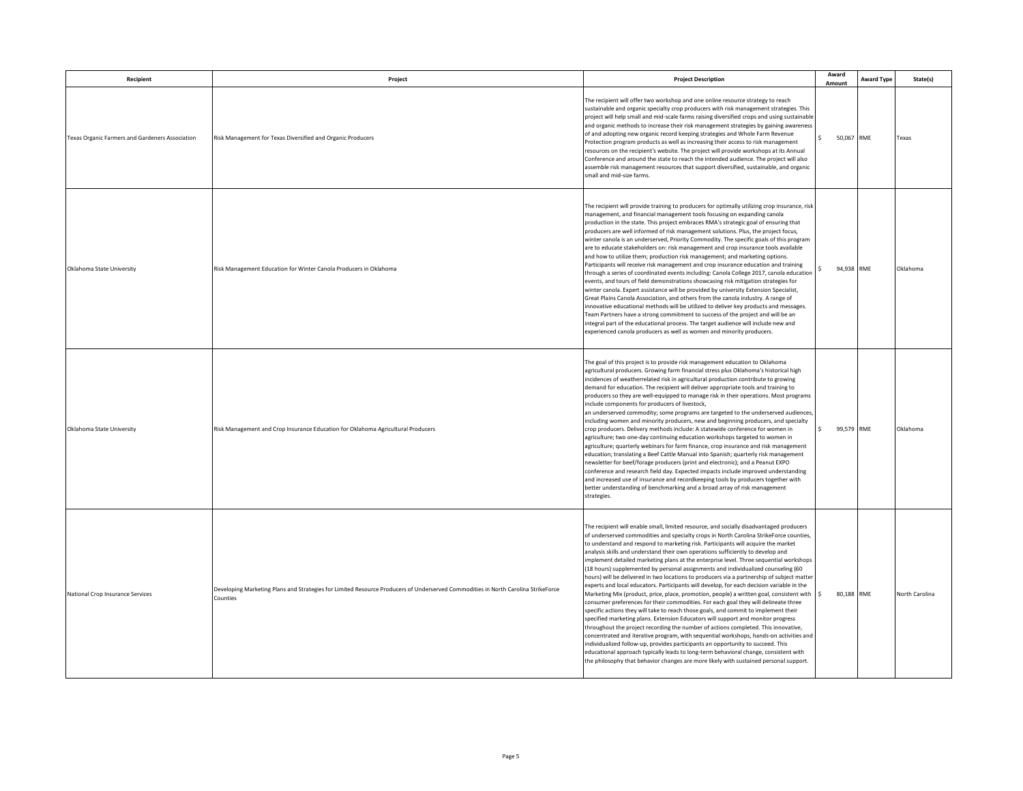| Recipient                                              | Project                                                                                                                                       | <b>Project Description</b>                                                                                                                                                                                                                                                                                                                                                                                                                                                                                                                                                                                                                                                                                                                                                                                                                                                                                                                                                                                                                                                                                                                                                                                                                                                                                                                                                                                                                                                                                                                                         | Award<br>Amount            | <b>Award Type</b> | State(s)       |
|--------------------------------------------------------|-----------------------------------------------------------------------------------------------------------------------------------------------|--------------------------------------------------------------------------------------------------------------------------------------------------------------------------------------------------------------------------------------------------------------------------------------------------------------------------------------------------------------------------------------------------------------------------------------------------------------------------------------------------------------------------------------------------------------------------------------------------------------------------------------------------------------------------------------------------------------------------------------------------------------------------------------------------------------------------------------------------------------------------------------------------------------------------------------------------------------------------------------------------------------------------------------------------------------------------------------------------------------------------------------------------------------------------------------------------------------------------------------------------------------------------------------------------------------------------------------------------------------------------------------------------------------------------------------------------------------------------------------------------------------------------------------------------------------------|----------------------------|-------------------|----------------|
| <b>Fexas Organic Farmers and Gardeners Association</b> | Risk Management for Texas Diversified and Organic Producers                                                                                   | The recipient will offer two workshop and one online resource strategy to reach<br>sustainable and organic specialty crop producers with risk management strategies. This<br>project will help small and mid-scale farms raising diversified crops and using sustainable<br>and organic methods to increase their risk management strategies by gaining awareness<br>of and adopting new organic record keeping strategies and Whole Farm Revenue<br>Protection program products as well as increasing their access to risk management<br>resources on the recipient's website. The project will provide workshops at its Annual<br>Conference and around the state to reach the intended audience. The project will also<br>assemble risk management resources that support diversified, sustainable, and organic<br>small and mid-size farms.                                                                                                                                                                                                                                                                                                                                                                                                                                                                                                                                                                                                                                                                                                                    | $\mathsf{S}$<br>50.067 RME |                   | Texas          |
| Oklahoma State University                              | Risk Management Education for Winter Canola Producers in Oklahoma                                                                             | The recipient will provide training to producers for optimally utilizing crop insurance, risk<br>management, and financial management tools focusing on expanding canola<br>production in the state. This project embraces RMA's strategic goal of ensuring that<br>producers are well informed of risk management solutions. Plus, the project focus,<br>winter canola is an underserved, Priority Commodity. The specific goals of this program<br>are to educate stakeholders on: risk management and crop insurance tools available<br>and how to utilize them; production risk management; and marketing options.<br>Participants will receive risk management and crop insurance education and training<br>through a series of coordinated events including: Canola College 2017, canola education<br>events, and tours of field demonstrations showcasing risk mitigation strategies for<br>winter canola. Expert assistance will be provided by university Extension Specialist,<br>Great Plains Canola Association, and others from the canola industry. A range of<br>innovative educational methods will be utilized to deliver key products and messages.<br>Team Partners have a strong commitment to success of the project and will be an<br>integral part of the educational process. The target audience will include new and<br>experienced canola producers as well as women and minority producers.                                                                                                                                            | 94,938 RME                 |                   | Oklahoma       |
| Oklahoma State University                              | Risk Management and Crop Insurance Education for Oklahoma Agricultural Producers                                                              | The goal of this project is to provide risk management education to Oklahoma<br>agricultural producers. Growing farm financial stress plus Oklahoma's historical high<br>incidences of weatherrelated risk in agricultural production contribute to growing<br>demand for education. The recipient will deliver appropriate tools and training to<br>producers so they are well-equipped to manage risk in their operations. Most programs<br>include components for producers of livestock,<br>an underserved commodity; some programs are targeted to the underserved audiences<br>including women and minority producers, new and beginning producers, and specialty<br>crop producers. Delivery methods include: A statewide conference for women in<br>agriculture; two one-day continuing education workshops targeted to women in<br>agriculture; quarterly webinars for farm finance, crop insurance and risk management<br>education; translating a Beef Cattle Manual into Spanish; quarterly risk management<br>newsletter for beef/forage producers (print and electronic); and a Peanut EXPO<br>conference and research field day. Expected impacts include improved understanding<br>and increased use of insurance and recordkeeping tools by producers together with<br>better understanding of benchmarking and a broad array of risk management<br>strategies.                                                                                                                                                                                   | $\mathsf{S}$<br>99.579 RME |                   | Oklahoma       |
| National Crop Insurance Services                       | Developing Marketing Plans and Strategies for Limited Resource Producers of Underserved Commodities in North Carolina StrikeForce<br>Counties | The recipient will enable small, limited resource, and socially disadvantaged producers<br>of underserved commodities and specialty crops in North Carolina StrikeForce counties,<br>to understand and respond to marketing risk. Participants will acquire the market<br>analysis skills and understand their own operations sufficiently to develop and<br>implement detailed marketing plans at the enterprise level. Three sequential workshops<br>(18 hours) supplemented by personal assignments and individualized counseling (60<br>hours) will be delivered in two locations to producers via a partnership of subject matter<br>experts and local educators. Participants will develop, for each decision variable in the<br>Marketing Mix (product, price, place, promotion, people) a written goal, consistent with $\frac{1}{5}$<br>consumer preferences for their commodities. For each goal they will delineate three<br>specific actions they will take to reach those goals, and commit to implement their<br>specified marketing plans. Extension Educators will support and monitor progress<br>throughout the project recording the number of actions completed. This innovative,<br>concentrated and iterative program, with sequential workshops, hands-on activities and<br>ndividualized follow-up, provides participants an opportunity to succeed. This<br>educational approach typically leads to long-term behavioral change, consistent with<br>the philosophy that behavior changes are more likely with sustained personal support. | 80.188 RME                 |                   | North Carolina |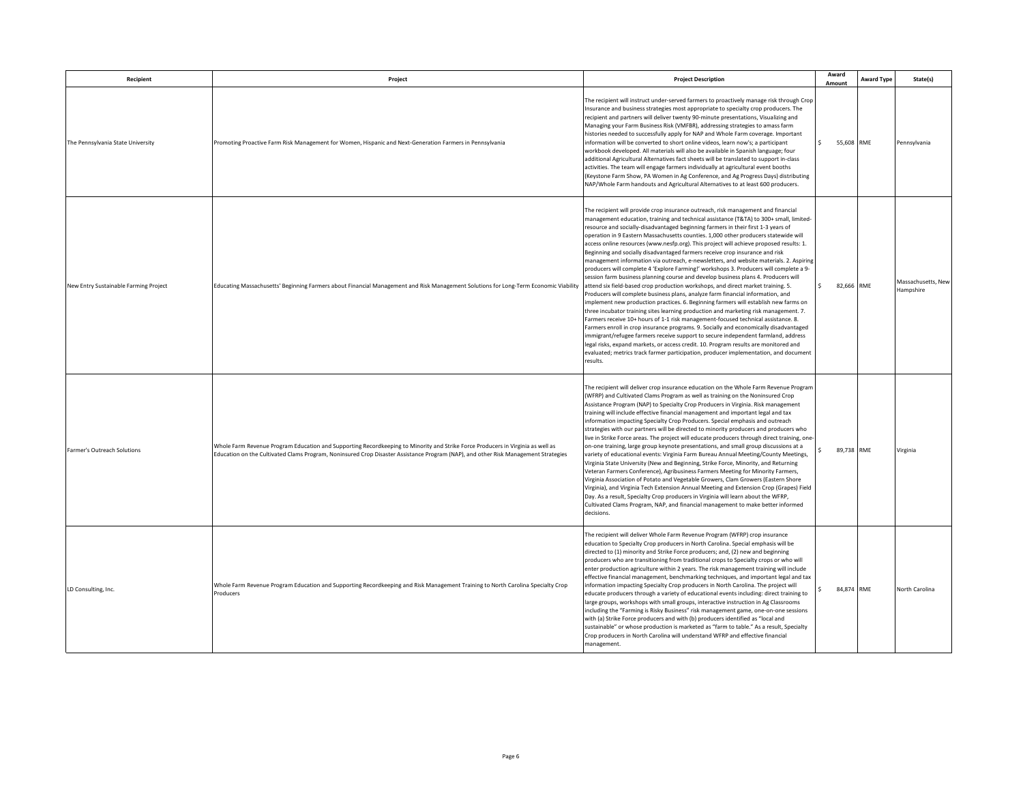| Recipient                             | Project                                                                                                                                                                                                                                                               | <b>Project Description</b>                                                                                                                                                                                                                                                                                                                                                                                                                                                                                                                                                                                                                                                                                                                                                                                                                                                                                                                                                                                                                                                                                                                                                                                                                                                                                                                                                                                                                                                                                                                                                                                                         | Award<br>Amount            | <b>Award Type</b> | State(s)                        |
|---------------------------------------|-----------------------------------------------------------------------------------------------------------------------------------------------------------------------------------------------------------------------------------------------------------------------|------------------------------------------------------------------------------------------------------------------------------------------------------------------------------------------------------------------------------------------------------------------------------------------------------------------------------------------------------------------------------------------------------------------------------------------------------------------------------------------------------------------------------------------------------------------------------------------------------------------------------------------------------------------------------------------------------------------------------------------------------------------------------------------------------------------------------------------------------------------------------------------------------------------------------------------------------------------------------------------------------------------------------------------------------------------------------------------------------------------------------------------------------------------------------------------------------------------------------------------------------------------------------------------------------------------------------------------------------------------------------------------------------------------------------------------------------------------------------------------------------------------------------------------------------------------------------------------------------------------------------------|----------------------------|-------------------|---------------------------------|
| The Pennsylvania State University     | Promoting Proactive Farm Risk Management for Women, Hispanic and Next-Generation Farmers in Pennsylvania                                                                                                                                                              | The recipient will instruct under-served farmers to proactively manage risk through Crop<br>Insurance and business strategies most appropriate to specialty crop producers. The<br>recipient and partners will deliver twenty 90-minute presentations, Visualizing and<br>Managing your Farm Business Risk (VMFBR), addressing strategies to amass farm<br>histories needed to successfully apply for NAP and Whole Farm coverage. Important<br>information will be converted to short online videos, learn now's; a participant<br>workbook developed. All materials will also be available in Spanish language; four<br>additional Agricultural Alternatives fact sheets will be translated to support in-class<br>activities. The team will engage farmers individually at agricultural event booths<br>(Keystone Farm Show, PA Women in Ag Conference, and Ag Progress Days) distributing<br>NAP/Whole Farm handouts and Agricultural Alternatives to at least 600 producers.                                                                                                                                                                                                                                                                                                                                                                                                                                                                                                                                                                                                                                                  | $\mathsf{S}$<br>55,608 RME |                   | Pennsylvania                    |
| New Entry Sustainable Farming Project | Educating Massachusetts' Beginning Farmers about Financial Management and Risk Management Solutions for Long-Term Economic Viability                                                                                                                                  | The recipient will provide crop insurance outreach, risk management and financial<br>management education, training and technical assistance (T&TA) to 300+ small, limited-<br>resource and socially-disadvantaged beginning farmers in their first 1-3 years of<br>operation in 9 Eastern Massachusetts counties. 1,000 other producers statewide will<br>access online resources (www.nesfp.org). This project will achieve proposed results: 1.<br>Beginning and socially disadvantaged farmers receive crop insurance and risk<br>management information via outreach, e-newsletters, and website materials. 2. Aspiring<br>producers will complete 4 'Explore Farming!' workshops 3. Producers will complete a 9-<br>session farm business planning course and develop business plans 4. Producers will<br>attend six field-based crop production workshops, and direct market training. 5.<br>Producers will complete business plans, analyze farm financial information, and<br>implement new production practices. 6. Beginning farmers will establish new farms on<br>three incubator training sites learning production and marketing risk management. 7.<br>Farmers receive 10+ hours of 1-1 risk management-focused technical assistance. 8.<br>Farmers enroll in crop insurance programs. 9. Socially and economically disadvantaged<br>immigrant/refugee farmers receive support to secure independent farmland, address<br>legal risks, expand markets, or access credit. 10. Program results are monitored and<br>evaluated; metrics track farmer participation, producer implementation, and document<br>results. | 82,666 RME                 |                   | Massachusetts, New<br>Hampshire |
| Farmer's Outreach Solutions           | Whole Farm Revenue Program Education and Supporting Recordkeeping to Minority and Strike Force Producers in Virginia as well as<br>Education on the Cultivated Clams Program, Noninsured Crop Disaster Assistance Program (NAP), and other Risk Management Strategies | The recipient will deliver crop insurance education on the Whole Farm Revenue Program<br>(WFRP) and Cultivated Clams Program as well as training on the Noninsured Crop<br>Assistance Program (NAP) to Specialty Crop Producers in Virginia. Risk management<br>training will include effective financial management and important legal and tax<br>information impacting Specialty Crop Producers. Special emphasis and outreach<br>strategies with our partners will be directed to minority producers and producers who<br>live in Strike Force areas. The project will educate producers through direct training, one<br>on-one training, large group keynote presentations, and small group discussions at a<br>variety of educational events: Virginia Farm Bureau Annual Meeting/County Meetings,<br>Virginia State University (New and Beginning, Strike Force, Minority, and Returning<br>Veteran Farmers Conference), Agribusiness Farmers Meeting for Minority Farmers,<br>Virginia Association of Potato and Vegetable Growers, Clam Growers (Eastern Shore<br>Virginia), and Virginia Tech Extension Annual Meeting and Extension Crop (Grapes) Field<br>Day. As a result, Specialty Crop producers in Virginia will learn about the WFRP,<br>Cultivated Clams Program, NAP, and financial management to make better informed<br>decisions.                                                                                                                                                                                                                                                                           | 89,738 RME                 |                   | Virginia                        |
| LD Consulting, Inc.                   | Whole Farm Revenue Program Education and Supporting Recordkeeping and Risk Management Training to North Carolina Specialty Crop<br>Producers                                                                                                                          | The recipient will deliver Whole Farm Revenue Program (WFRP) crop insurance<br>education to Specialty Crop producers in North Carolina. Special emphasis will be<br>directed to (1) minority and Strike Force producers; and, (2) new and beginning<br>producers who are transitioning from traditional crops to Specialty crops or who will<br>enter production agriculture within 2 years. The risk management training will include<br>effective financial management, benchmarking techniques, and important legal and tax<br>information impacting Specialty Crop producers in North Carolina. The project will<br>educate producers through a variety of educational events including: direct training to<br>arge groups, workshops with small groups, interactive instruction in Ag Classrooms<br>including the "Farming is Risky Business" risk management game, one-on-one sessions<br>with (a) Strike Force producers and with (b) producers identified as "local and<br>sustainable" or whose production is marketed as "farm to table." As a result, Specialty<br>Crop producers in North Carolina will understand WFRP and effective financial<br>management.                                                                                                                                                                                                                                                                                                                                                                                                                                                         | 84,874 RME                 |                   | North Carolina                  |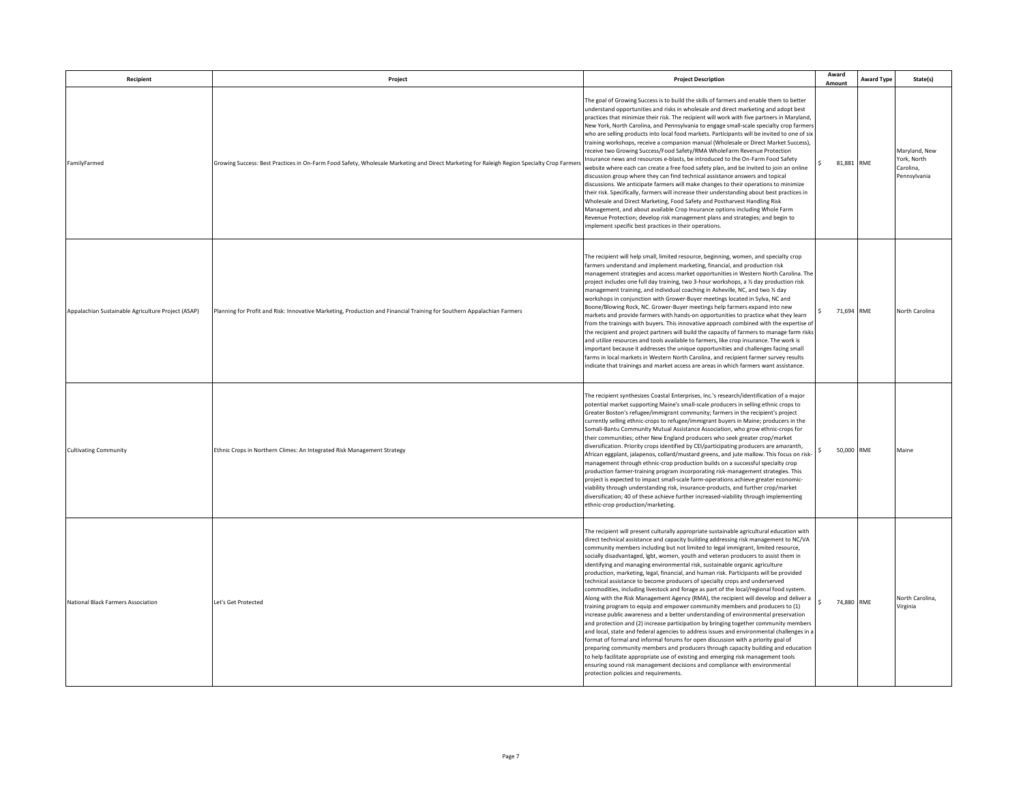| Recipient                                          | Project                                                                                                                                   | <b>Project Description</b>                                                                                                                                                                                                                                                                                                                                                                                                                                                                                                                                                                                                                                                                                                                                                                                                                                                                                                                                                                                                                                                                                                                                                                                                                                                                                                                                                                                                                                                                                                                                | Award<br>Amount                    | <b>Award Type</b> | State(s)                                                  |
|----------------------------------------------------|-------------------------------------------------------------------------------------------------------------------------------------------|-----------------------------------------------------------------------------------------------------------------------------------------------------------------------------------------------------------------------------------------------------------------------------------------------------------------------------------------------------------------------------------------------------------------------------------------------------------------------------------------------------------------------------------------------------------------------------------------------------------------------------------------------------------------------------------------------------------------------------------------------------------------------------------------------------------------------------------------------------------------------------------------------------------------------------------------------------------------------------------------------------------------------------------------------------------------------------------------------------------------------------------------------------------------------------------------------------------------------------------------------------------------------------------------------------------------------------------------------------------------------------------------------------------------------------------------------------------------------------------------------------------------------------------------------------------|------------------------------------|-------------------|-----------------------------------------------------------|
| FamilyFarmed                                       | Growing Success: Best Practices in On-Farm Food Safety, Wholesale Marketing and Direct Marketing for Raleigh Region Specialty Crop Farmer | The goal of Growing Success is to build the skills of farmers and enable them to better<br>understand opportunities and risks in wholesale and direct marketing and adopt best<br>practices that minimize their risk. The recipient will work with five partners in Maryland,<br>New York, North Carolina, and Pennsylvania to engage small-scale specialty crop farmer<br>who are selling products into local food markets. Participants will be invited to one of six<br>training workshops, receive a companion manual (Wholesale or Direct Market Success),<br>receive two Growing Success/Food Safety/RMA WholeFarm Revenue Protection<br>Insurance news and resources e-blasts, be introduced to the On-Farm Food Safety<br>website where each can create a free food safety plan, and be invited to join an online<br>discussion group where they can find technical assistance answers and topical<br>discussions. We anticipate farmers will make changes to their operations to minimize<br>their risk. Specifically, farmers will increase their understanding about best practices in<br>Wholesale and Direct Marketing, Food Safety and Postharvest Handling Risk<br>Management, and about available Crop Insurance options including Whole Farm<br>Revenue Protection; develop risk management plans and strategies; and begin to<br>implement specific best practices in their operations.                                                                                                                                                 | 81.881 RME                         |                   | Maryland, New<br>York, North<br>Carolina,<br>Pennsylvania |
| Appalachian Sustainable Agriculture Project (ASAP) | Planning for Profit and Risk: Innovative Marketing, Production and Financial Training for Southern Appalachian Farmers                    | The recipient will help small, limited resource, beginning, women, and specialty crop<br>farmers understand and implement marketing, financial, and production risk<br>management strategies and access market opportunities in Western North Carolina. The<br>project includes one full day training, two 3-hour workshops, a 1/2 day production risk<br>management training, and individual coaching in Asheville, NC, and two 1/2 day<br>workshops in conjunction with Grower-Buyer meetings located in Sylva, NC and<br>Boone/Blowing Rock, NC. Grower-Buyer meetings help farmers expand into new<br>markets and provide farmers with hands-on opportunities to practice what they learn<br>from the trainings with buyers. This innovative approach combined with the expertise of<br>the recipient and project partners will build the capacity of farmers to manage farm risks<br>and utilize resources and tools available to farmers, like crop insurance. The work is<br>important because it addresses the unique opportunities and challenges facing small<br>farms in local markets in Western North Carolina, and recipient farmer survey results<br>indicate that trainings and market access are areas in which farmers want assistance.                                                                                                                                                                                                                                                                                                 | 71,694 RME<br>\$                   |                   | North Carolina                                            |
| <b>Cultivating Community</b>                       | Ethnic Crops in Northern Climes: An Integrated Risk Management Strategy                                                                   | The recipient synthesizes Coastal Enterprises, Inc.'s research/identification of a major<br>potential market supporting Maine's small-scale producers in selling ethnic crops to<br>Greater Boston's refugee/immigrant community; farmers in the recipient's project<br>currently selling ethnic-crops to refugee/immigrant buyers in Maine; producers in the<br>Somali-Bantu Community Mutual Assistance Association, who grow ethnic-crops for<br>their communities; other New England producers who seek greater crop/market<br>diversification. Priority crops identified by CEI/participating producers are amaranth,<br>African eggplant, jalapenos, collard/mustard greens, and jute mallow. This focus on risk-<br>management through ethnic-crop production builds on a successful specialty crop<br>production farmer-training program incorporating risk-management strategies. This<br>project is expected to impact small-scale farm-operations achieve greater economic-<br>viability through understanding risk, insurance-products, and further crop/market<br>diversification; 40 of these achieve further increased-viability through implementing<br>ethnic-crop production/marketing.                                                                                                                                                                                                                                                                                                                                                 | 50,000 RME                         |                   | Maine                                                     |
| National Black Farmers Association                 | Let's Get Protected                                                                                                                       | The recipient will present culturally appropriate sustainable agricultural education with<br>direct technical assistance and capacity building addressing risk management to NC/VA<br>community members including but not limited to legal immigrant, limited resource,<br>socially disadvantaged, lgbt, women, youth and veteran producers to assist them in<br>identifying and managing environmental risk, sustainable organic agriculture<br>production, marketing, legal, financial, and human risk. Participants will be provided<br>technical assistance to become producers of specialty crops and underserved<br>commodities, including livestock and forage as part of the local/regional food system.<br>Along with the Risk Management Agency (RMA), the recipient will develop and deliver a<br>training program to equip and empower community members and producers to (1)<br>increase public awareness and a better understanding of environmental preservation<br>and protection and (2) increase participation by bringing together community members<br>and local, state and federal agencies to address issues and environmental challenges in a<br>format of formal and informal forums for open discussion with a priority goal of<br>preparing community members and producers through capacity building and education<br>to help facilitate appropriate use of existing and emerging risk management tools<br>ensuring sound risk management decisions and compliance with environmental<br>protection policies and requirements. | $\ddot{\phantom{1}}$<br>74,880 RME |                   | North Carolina,<br>Virginia                               |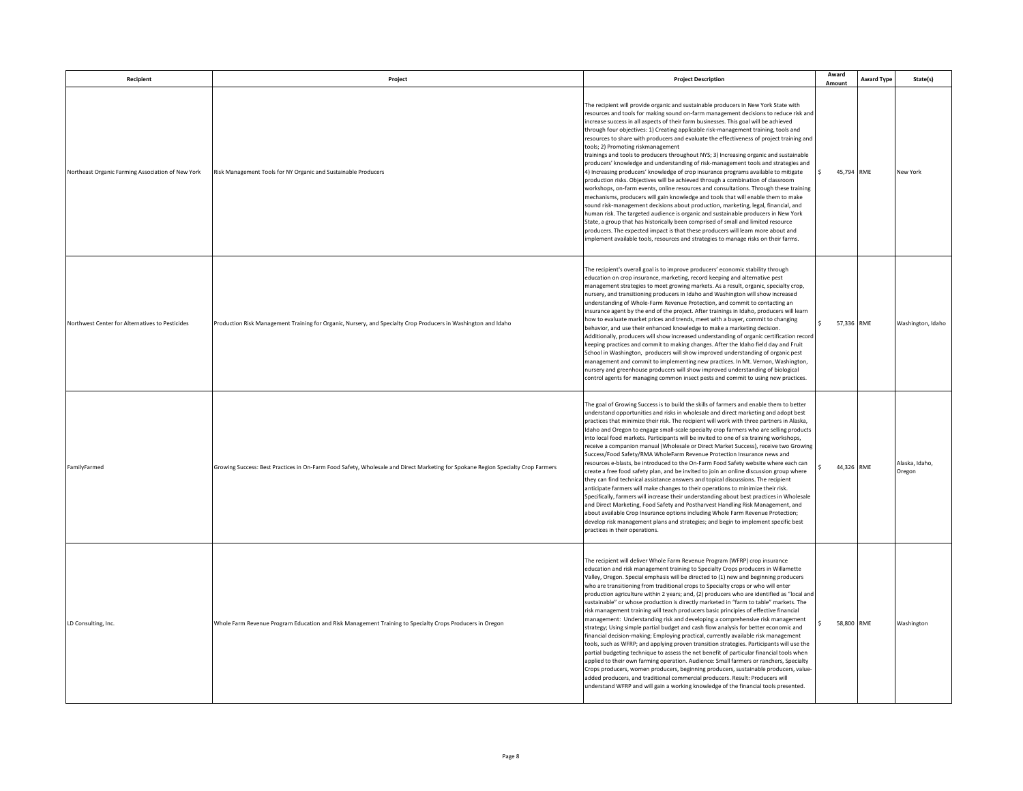| Recipient                                         | Project                                                                                                                          | <b>Project Description</b>                                                                                                                                                                                                                                                                                                                                                                                                                                                                                                                                                                                                                                                                                                                                                                                                                                                                                                                                                                                                                                                                                                                                                                                                                                                                                                                                                                                                                                                        | Award<br>Amount  | Award Type | State(s)                 |
|---------------------------------------------------|----------------------------------------------------------------------------------------------------------------------------------|-----------------------------------------------------------------------------------------------------------------------------------------------------------------------------------------------------------------------------------------------------------------------------------------------------------------------------------------------------------------------------------------------------------------------------------------------------------------------------------------------------------------------------------------------------------------------------------------------------------------------------------------------------------------------------------------------------------------------------------------------------------------------------------------------------------------------------------------------------------------------------------------------------------------------------------------------------------------------------------------------------------------------------------------------------------------------------------------------------------------------------------------------------------------------------------------------------------------------------------------------------------------------------------------------------------------------------------------------------------------------------------------------------------------------------------------------------------------------------------|------------------|------------|--------------------------|
| Northeast Organic Farming Association of New York | Risk Management Tools for NY Organic and Sustainable Producers                                                                   | The recipient will provide organic and sustainable producers in New York State with<br>resources and tools for making sound on-farm management decisions to reduce risk and<br>increase success in all aspects of their farm businesses. This goal will be achieved<br>through four objectives: 1) Creating applicable risk-management training, tools and<br>resources to share with producers and evaluate the effectiveness of project training and<br>tools; 2) Promoting riskmanagement<br>trainings and tools to producers throughout NYS; 3) Increasing organic and sustainable<br>producers' knowledge and understanding of risk-management tools and strategies and<br>4) Increasing producers' knowledge of crop insurance programs available to mitigate<br>production risks. Objectives will be achieved through a combination of classroom<br>workshops, on-farm events, online resources and consultations. Through these training<br>mechanisms, producers will gain knowledge and tools that will enable them to make<br>sound risk-management decisions about production, marketing, legal, financial, and<br>human risk. The targeted audience is organic and sustainable producers in New York<br>State, a group that has historically been comprised of small and limited resource<br>producers. The expected impact is that these producers will learn more about and<br>implement available tools, resources and strategies to manage risks on their farms. | 45,794 RME       |            | New York                 |
| Northwest Center for Alternatives to Pesticides   | Production Risk Management Training for Organic, Nursery, and Specialty Crop Producers in Washington and Idaho                   | The recipient's overall goal is to improve producers' economic stability through<br>education on crop insurance, marketing, record keeping and alternative pest<br>management strategies to meet growing markets. As a result, organic, specialty crop,<br>nursery, and transitioning producers in Idaho and Washington will show increased<br>understanding of Whole-Farm Revenue Protection, and commit to contacting an<br>insurance agent by the end of the project. After trainings in Idaho, producers will learn<br>how to evaluate market prices and trends, meet with a buyer, commit to changing<br>behavior, and use their enhanced knowledge to make a marketing decision.<br>Additionally, producers will show increased understanding of organic certification record<br>keeping practices and commit to making changes. After the Idaho field day and Fruit<br>School in Washington, producers will show improved understanding of organic pest<br>management and commit to implementing new practices. In Mt. Vernon, Washington,<br>nursery and greenhouse producers will show improved understanding of biological<br>control agents for managing common insect pests and commit to using new practices.                                                                                                                                                                                                                                                        | 57,336 RME       |            | Washington, Idaho        |
| <b>FamilyFarmed</b>                               | Growing Success: Best Practices in On-Farm Food Safety, Wholesale and Direct Marketing for Spokane Region Specialty Crop Farmers | The goal of Growing Success is to build the skills of farmers and enable them to better<br>understand opportunities and risks in wholesale and direct marketing and adopt best<br>practices that minimize their risk. The recipient will work with three partners in Alaska,<br>Idaho and Oregon to engage small-scale specialty crop farmers who are selling products<br>into local food markets. Participants will be invited to one of six training workshops,<br>receive a companion manual (Wholesale or Direct Market Success), receive two Growing<br>Success/Food Safety/RMA WholeFarm Revenue Protection Insurance news and<br>resources e-blasts, be introduced to the On-Farm Food Safety website where each can<br>create a free food safety plan, and be invited to join an online discussion group where<br>they can find technical assistance answers and topical discussions. The recipient<br>anticipate farmers will make changes to their operations to minimize their risk.<br>Specifically, farmers will increase their understanding about best practices in Wholesale<br>and Direct Marketing, Food Safety and Postharvest Handling Risk Management, and<br>about available Crop Insurance options including Whole Farm Revenue Protection;<br>develop risk management plans and strategies; and begin to implement specific best<br>practices in their operations.                                                                                        | 44,326 RME       |            | Alaska, Idaho,<br>Oregon |
| LD Consulting, Inc.                               | Whole Farm Revenue Program Education and Risk Management Training to Specialty Crops Producers in Oregon                         | The recipient will deliver Whole Farm Revenue Program (WFRP) crop insurance<br>education and risk management training to Specialty Crops producers in Willamette<br>Valley, Oregon. Special emphasis will be directed to (1) new and beginning producers<br>who are transitioning from traditional crops to Specialty crops or who will enter<br>production agriculture within 2 years; and, (2) producers who are identified as "local and<br>sustainable" or whose production is directly marketed in "farm to table" markets. The<br>risk management training will teach producers basic principles of effective financial<br>management: Understanding risk and developing a comprehensive risk management<br>strategy; Using simple partial budget and cash flow analysis for better economic and<br>financial decision-making; Employing practical, currently available risk management<br>tools, such as WFRP; and applying proven transition strategies. Participants will use the<br>partial budgeting technique to assess the net benefit of particular financial tools when<br>applied to their own farming operation. Audience: Small farmers or ranchers, Specialty<br>Crops producers, women producers, beginning producers, sustainable producers, value-<br>added producers, and traditional commercial producers. Result: Producers will<br>understand WFRP and will gain a working knowledge of the financial tools presented.                                  | \$<br>58,800 RME |            | Washington               |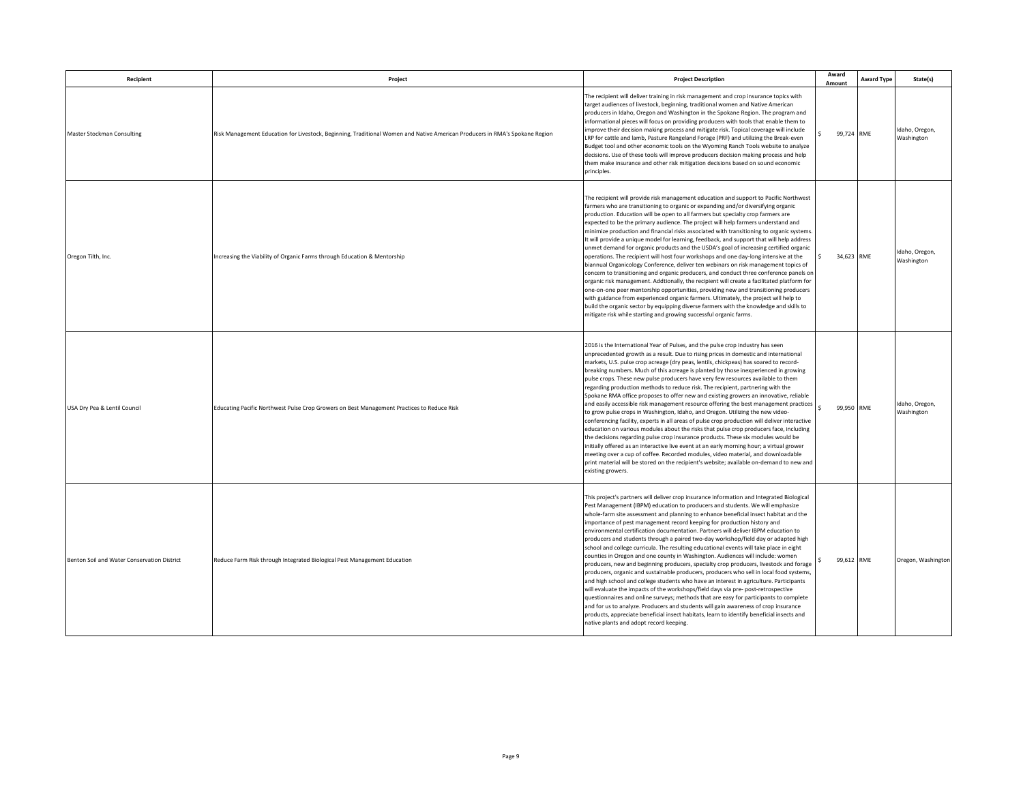| Recipient                                   | Project                                                                                                                     | <b>Project Description</b>                                                                                                                                                                                                                                                                                                                                                                                                                                                                                                                                                                                                                                                                                                                                                                                                                                                                                                                                                                                                                                                                                                                                                                                                                                                                                                                                                                         | Award<br>Amount                    | <b>Award Type</b> | State(s)                     |
|---------------------------------------------|-----------------------------------------------------------------------------------------------------------------------------|----------------------------------------------------------------------------------------------------------------------------------------------------------------------------------------------------------------------------------------------------------------------------------------------------------------------------------------------------------------------------------------------------------------------------------------------------------------------------------------------------------------------------------------------------------------------------------------------------------------------------------------------------------------------------------------------------------------------------------------------------------------------------------------------------------------------------------------------------------------------------------------------------------------------------------------------------------------------------------------------------------------------------------------------------------------------------------------------------------------------------------------------------------------------------------------------------------------------------------------------------------------------------------------------------------------------------------------------------------------------------------------------------|------------------------------------|-------------------|------------------------------|
| Master Stockman Consulting                  | Risk Management Education for Livestock, Beginning, Traditional Women and Native American Producers in RMA's Spokane Region | The recipient will deliver training in risk management and crop insurance topics with<br>target audiences of livestock, beginning, traditional women and Native American<br>producers in Idaho, Oregon and Washington in the Spokane Region. The program and<br>informational pieces will focus on providing producers with tools that enable them to<br>improve their decision making process and mitigate risk. Topical coverage will include<br>LRP for cattle and lamb, Pasture Rangeland Forage (PRF) and utilizing the Break-even<br>Budget tool and other economic tools on the Wyoming Ranch Tools website to analyze<br>decisions. Use of these tools will improve producers decision making process and help<br>them make insurance and other risk mitigation decisions based on sound economic<br>principles.                                                                                                                                                                                                                                                                                                                                                                                                                                                                                                                                                                           | 99,724 RME                         |                   | Idaho, Oregon,<br>Washington |
| Oregon Tilth, Inc.                          | Increasing the Viability of Organic Farms through Education & Mentorship                                                    | The recipient will provide risk management education and support to Pacific Northwest<br>farmers who are transitioning to organic or expanding and/or diversifying organic<br>production. Education will be open to all farmers but specialty crop farmers are<br>expected to be the primary audience. The project will help farmers understand and<br>minimize production and financial risks associated with transitioning to organic systems<br>It will provide a unique model for learning, feedback, and support that will help address<br>unmet demand for organic products and the USDA's goal of increasing certified organic<br>operations. The recipient will host four workshops and one day-long intensive at the<br>biannual Organicology Conference, deliver ten webinars on risk management topics of<br>concern to transitioning and organic producers, and conduct three conference panels or<br>organic risk management. Addtionally, the recipient will create a facilitated platform for<br>one-on-one peer mentorship opportunities, providing new and transitioning producers<br>with guidance from experienced organic farmers. Ultimately, the project will help to<br>build the organic sector by equipping diverse farmers with the knowledge and skills to<br>mitigate risk while starting and growing successful organic farms.                                        | 34,623 RME<br>$\ddot{\phantom{0}}$ |                   | Idaho, Oregon,<br>Washington |
| USA Dry Pea & Lentil Council                | Educating Pacific Northwest Pulse Crop Growers on Best Management Practices to Reduce Risk                                  | 2016 is the International Year of Pulses, and the pulse crop industry has seen<br>unprecedented growth as a result. Due to rising prices in domestic and international<br>markets, U.S. pulse crop acreage (dry peas, lentils, chickpeas) has soared to record-<br>breaking numbers. Much of this acreage is planted by those inexperienced in growing<br>pulse crops. These new pulse producers have very few resources available to them<br>regarding production methods to reduce risk. The recipient, partnering with the<br>Spokane RMA office proposes to offer new and existing growers an innovative, reliable<br>and easily accessible risk management resource offering the best management practices<br>to grow pulse crops in Washington, Idaho, and Oregon. Utilizing the new video-<br>conferencing facility, experts in all areas of pulse crop production will deliver interactive<br>education on various modules about the risks that pulse crop producers face, including<br>the decisions regarding pulse crop insurance products. These six modules would be<br>initially offered as an interactive live event at an early morning hour; a virtual grower<br>meeting over a cup of coffee. Recorded modules, video material, and downloadable<br>print material will be stored on the recipient's website; available on-demand to new and<br>existing growers.                | 99,950 RME                         |                   | Idaho, Oregon,<br>Washington |
| Benton Soil and Water Conservation District | Reduce Farm Risk through Integrated Biological Pest Management Education                                                    | This project's partners will deliver crop insurance information and Integrated Biological<br>Pest Management (IBPM) education to producers and students. We will emphasize<br>whole-farm site assessment and planning to enhance beneficial insect habitat and the<br>importance of pest management record keeping for production history and<br>environmental certification documentation. Partners will deliver IBPM education to<br>producers and students through a paired two-day workshop/field day or adapted high<br>school and college curricula. The resulting educational events will take place in eight<br>counties in Oregon and one county in Washington. Audiences will include: women<br>producers, new and beginning producers, specialty crop producers, livestock and forage<br>producers, organic and sustainable producers, producers who sell in local food systems,<br>and high school and college students who have an interest in agriculture. Participants<br>will evaluate the impacts of the workshops/field days via pre- post-retrospective<br>questionnaires and online surveys; methods that are easy for participants to complete<br>and for us to analyze. Producers and students will gain awareness of crop insurance<br>products, appreciate beneficial insect habitats, learn to identify beneficial insects and<br>native plants and adopt record keeping. | 99,612 RME                         |                   | Oregon, Washington           |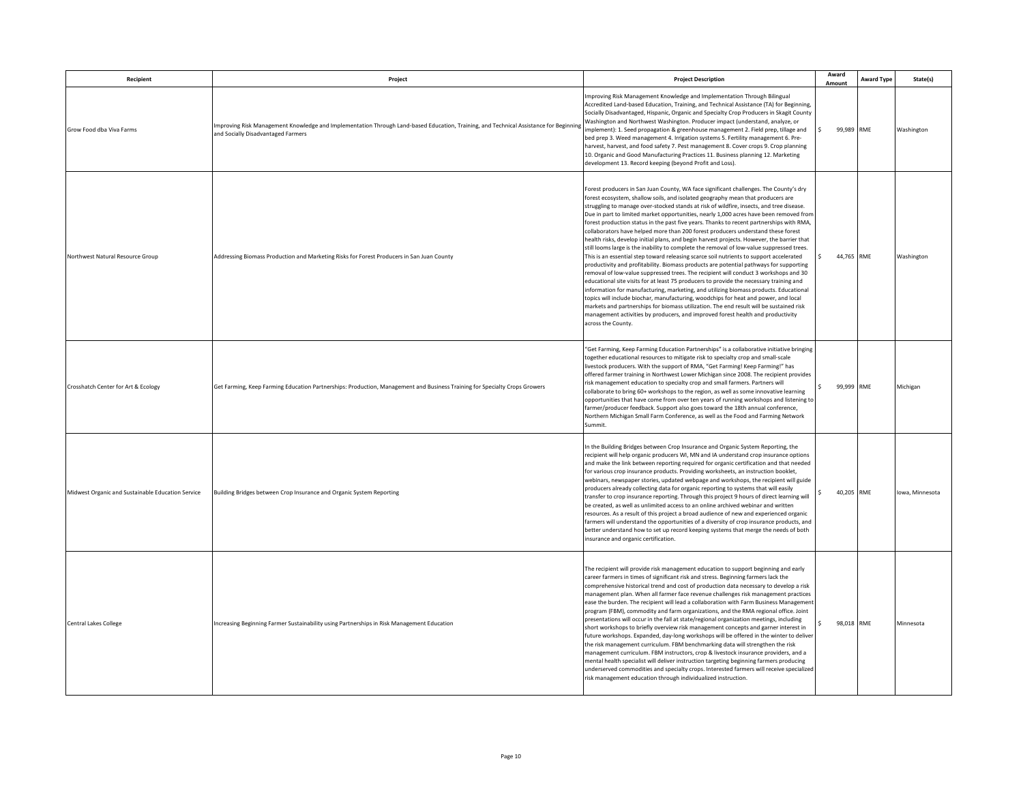| Recipient                                         | Project                                                                                                                                                                     | <b>Project Description</b>                                                                                                                                                                                                                                                                                                                                                                                                                                                                                                                                                                                                                                                                                                                                                                                                                                                                                                                                                                                                                                                                                                                                                                                                                                                                                                                                                                                                                                                                            | Award<br>Amount  | <b>Award Type</b> | <b>State(s)</b> |
|---------------------------------------------------|-----------------------------------------------------------------------------------------------------------------------------------------------------------------------------|-------------------------------------------------------------------------------------------------------------------------------------------------------------------------------------------------------------------------------------------------------------------------------------------------------------------------------------------------------------------------------------------------------------------------------------------------------------------------------------------------------------------------------------------------------------------------------------------------------------------------------------------------------------------------------------------------------------------------------------------------------------------------------------------------------------------------------------------------------------------------------------------------------------------------------------------------------------------------------------------------------------------------------------------------------------------------------------------------------------------------------------------------------------------------------------------------------------------------------------------------------------------------------------------------------------------------------------------------------------------------------------------------------------------------------------------------------------------------------------------------------|------------------|-------------------|-----------------|
| Grow Food dha Viva Farms                          | Improving Risk Management Knowledge and Implementation Through Land-based Education, Training, and Technical Assistance for Beginning<br>and Socially Disadvantaged Farmers | Improving Risk Management Knowledge and Implementation Through Bilingual<br>Accredited Land-based Education, Training, and Technical Assistance (TA) for Beginning,<br>Socially Disadvantaged, Hispanic, Organic and Specialty Crop Producers in Skagit County<br>Washington and Northwest Washington. Producer impact (understand, analyze, or<br>implement): 1. Seed propagation & greenhouse management 2. Field prep, tillage and<br>bed prep 3. Weed management 4. Irrigation systems 5. Fertility management 6. Pre-<br>harvest, harvest, and food safety 7. Pest management 8. Cover crops 9. Crop planning<br>10. Organic and Good Manufacturing Practices 11. Business planning 12. Marketing<br>development 13. Record keeping (beyond Profit and Loss).                                                                                                                                                                                                                                                                                                                                                                                                                                                                                                                                                                                                                                                                                                                                    | $\sim$<br>99,989 | <b>RME</b>        | Washington      |
| Northwest Natural Resource Group                  | Addressing Biomass Production and Marketing Risks for Forest Producers in San Juan County                                                                                   | Forest producers in San Juan County, WA face significant challenges. The County's dry<br>forest ecosystem, shallow soils, and isolated geography mean that producers are<br>struggling to manage over-stocked stands at risk of wildfire, insects, and tree disease.<br>Due in part to limited market opportunities, nearly 1,000 acres have been removed from<br>forest production status in the past five years. Thanks to recent partnerships with RMA,<br>collaborators have helped more than 200 forest producers understand these forest<br>health risks, develop initial plans, and begin harvest projects. However, the barrier that<br>still looms large is the inability to complete the removal of low-value suppressed trees.<br>This is an essential step toward releasing scarce soil nutrients to support accelerated<br>productivity and profitability. Biomass products are potential pathways for supporting<br>removal of low-value suppressed trees. The recipient will conduct 3 workshops and 30<br>educational site visits for at least 75 producers to provide the necessary training and<br>information for manufacturing, marketing, and utilizing biomass products. Educational<br>topics will include biochar, manufacturing, woodchips for heat and power, and local<br>markets and partnerships for biomass utilization. The end result will be sustained risk<br>management activities by producers, and improved forest health and productivity<br>across the County. | 44,765           | RME               | Washington      |
| Crosshatch Center for Art & Ecology               | Get Farming, Keep Farming Education Partnerships: Production, Management and Business Training for Specialty Crops Growers                                                  | "Get Farming, Keep Farming Education Partnerships" is a collaborative initiative bringing<br>together educational resources to mitigate risk to specialty crop and small-scale<br>livestock producers. With the support of RMA, "Get Farming! Keep Farming!" has<br>offered farmer training in Northwest Lower Michigan since 2008. The recipient provides<br>risk management education to specialty crop and small farmers. Partners will<br>collaborate to bring 60+ workshops to the region, as well as some innovative learning<br>opportunities that have come from over ten years of running workshops and listening to<br>farmer/producer feedback. Support also goes toward the 18th annual conference,<br>Northern Michigan Small Farm Conference, as well as the Food and Farming Network<br>Summit.                                                                                                                                                                                                                                                                                                                                                                                                                                                                                                                                                                                                                                                                                        | 99,999           | RME               | Michigan        |
| Midwest Organic and Sustainable Education Service | Building Bridges between Crop Insurance and Organic System Reporting                                                                                                        | In the Building Bridges between Crop Insurance and Organic System Reporting, the<br>recipient will help organic producers WI, MN and IA understand crop insurance options<br>and make the link between reporting required for organic certification and that needed<br>for various crop insurance products. Providing worksheets, an instruction booklet,<br>webinars, newspaper stories, updated webpage and workshops, the recipient will guide<br>producers already collecting data for organic reporting to systems that will easily<br>transfer to crop insurance reporting. Through this project 9 hours of direct learning will<br>be created, as well as unlimited access to an online archived webinar and written<br>resources. As a result of this project a broad audience of new and experienced organic<br>farmers will understand the opportunities of a diversity of crop insurance products, and<br>better understand how to set up record keeping systems that merge the needs of both<br>insurance and organic certification.                                                                                                                                                                                                                                                                                                                                                                                                                                                      | 40,205           | RME               | Iowa, Minnesota |
| <b>Central Lakes College</b>                      | Increasing Beginning Farmer Sustainability using Partnerships in Risk Management Education                                                                                  | The recipient will provide risk management education to support beginning and early<br>career farmers in times of significant risk and stress. Beginning farmers lack the<br>comprehensive historical trend and cost of production data necessary to develop a risk<br>management plan. When all farmer face revenue challenges risk management practices<br>ease the burden. The recipient will lead a collaboration with Farm Business Managemen<br>program (FBM), commodity and farm organizations, and the RMA regional office. Joint<br>presentations will occur in the fall at state/regional organization meetings, including<br>short workshops to briefly overview risk management concepts and garner interest in<br>future workshops. Expanded, day-long workshops will be offered in the winter to deliver<br>the risk management curriculum. FBM benchmarking data will strengthen the risk<br>management curriculum. FBM instructors, crop & livestock insurance providers, and a<br>mental health specialist will deliver instruction targeting beginning farmers producing<br>underserved commodities and specialty crops. Interested farmers will receive specialized<br>risk management education through individualized instruction.                                                                                                                                                                                                                                               | 98.018           | RME               | Minnesota       |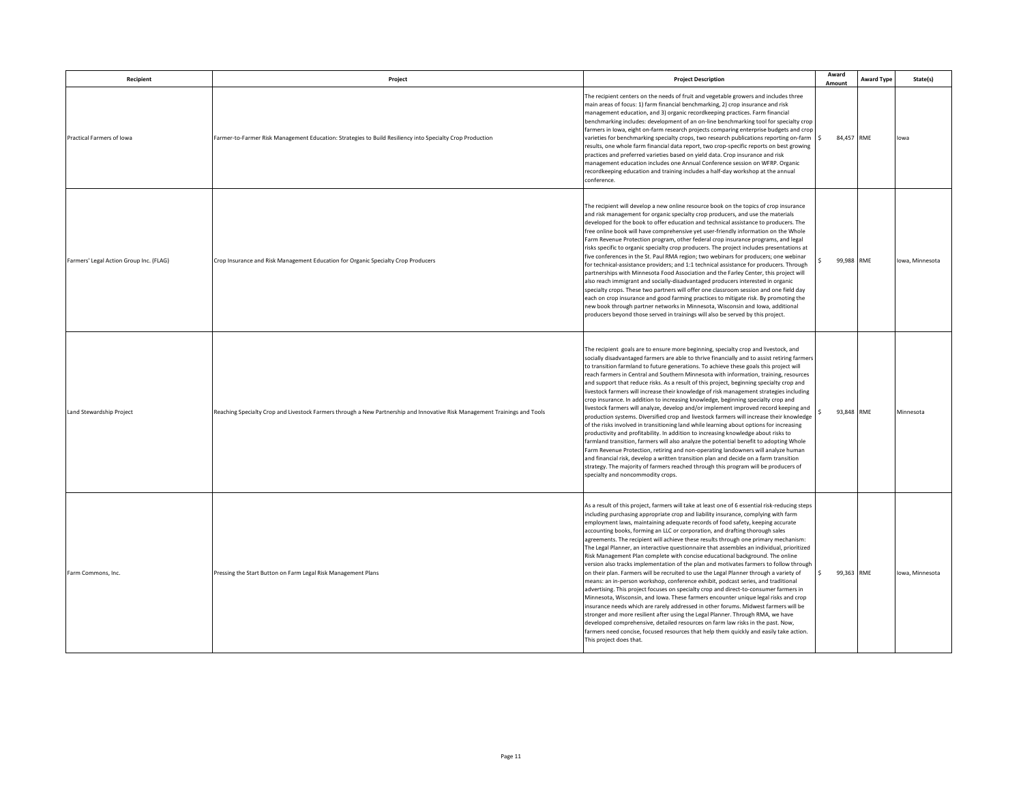| Recipient                               | Project                                                                                                                    | <b>Project Description</b>                                                                                                                                                                                                                                                                                                                                                                                                                                                                                                                                                                                                                                                                                                                                                                                                                                                                                                                                                                                                                                                                                                                                                                                                                                                                                                                                                                                                                                             | Award<br>Amount    | <b>Award Type</b> | State(s)        |
|-----------------------------------------|----------------------------------------------------------------------------------------------------------------------------|------------------------------------------------------------------------------------------------------------------------------------------------------------------------------------------------------------------------------------------------------------------------------------------------------------------------------------------------------------------------------------------------------------------------------------------------------------------------------------------------------------------------------------------------------------------------------------------------------------------------------------------------------------------------------------------------------------------------------------------------------------------------------------------------------------------------------------------------------------------------------------------------------------------------------------------------------------------------------------------------------------------------------------------------------------------------------------------------------------------------------------------------------------------------------------------------------------------------------------------------------------------------------------------------------------------------------------------------------------------------------------------------------------------------------------------------------------------------|--------------------|-------------------|-----------------|
| Practical Farmers of Iowa               | Farmer-to-Farmer Risk Management Education: Strategies to Build Resiliency into Specialty Crop Production                  | The recipient centers on the needs of fruit and vegetable growers and includes three<br>main areas of focus: 1) farm financial benchmarking, 2) crop insurance and risk<br>management education, and 3) organic recordkeeping practices. Farm financial<br>benchmarking includes: development of an on-line benchmarking tool for specialty crop<br>farmers in Iowa, eight on-farm research projects comparing enterprise budgets and crop<br>varieties for benchmarking specialty crops, two research publications reporting on-farm<br>results, one whole farm financial data report, two crop-specific reports on best growing<br>practices and preferred varieties based on yield data. Crop insurance and risk<br>management education includes one Annual Conference session on WFRP. Organic<br>recordkeeping education and training includes a half-day workshop at the annual<br>conference.                                                                                                                                                                                                                                                                                                                                                                                                                                                                                                                                                                  | l s<br>84,457 RME  |                   | lowa            |
| Farmers' Legal Action Group Inc. (FLAG) | Crop Insurance and Risk Management Education for Organic Specialty Crop Producers                                          | The recipient will develop a new online resource book on the topics of crop insurance<br>and risk management for organic specialty crop producers, and use the materials<br>developed for the book to offer education and technical assistance to producers. The<br>free online book will have comprehensive yet user-friendly information on the Whole<br>Farm Revenue Protection program, other federal crop insurance programs, and legal<br>risks specific to organic specialty crop producers. The project includes presentations at<br>five conferences in the St. Paul RMA region; two webinars for producers; one webinar<br>for technical-assistance providers; and 1:1 technical assistance for producers. Through<br>partnerships with Minnesota Food Association and the Farley Center, this project will<br>also reach immigrant and socially-disadvantaged producers interested in organic<br>specialty crops. These two partners will offer one classroom session and one field day<br>each on crop insurance and good farming practices to mitigate risk. By promoting the<br>new book through partner networks in Minnesota, Wisconsin and Iowa, additional<br>producers beyond those served in trainings will also be served by this project.                                                                                                                                                                                                        | 99,988 RME         |                   | Iowa, Minnesota |
| Land Stewardship Project                | Reaching Specialty Crop and Livestock Farmers through a New Partnership and Innovative Risk Management Trainings and Tools | The recipient goals are to ensure more beginning, specialty crop and livestock, and<br>socially disadvantaged farmers are able to thrive financially and to assist retiring farmers<br>to transition farmland to future generations. To achieve these goals this project will<br>reach farmers in Central and Southern Minnesota with information, training, resources<br>and support that reduce risks. As a result of this project, beginning specialty crop and<br>ivestock farmers will increase their knowledge of risk management strategies including<br>crop insurance. In addition to increasing knowledge, beginning specialty crop and<br>livestock farmers will analyze, develop and/or implement improved record keeping and<br>production systems. Diversified crop and livestock farmers will increase their knowledge<br>of the risks involved in transitioning land while learning about options for increasing<br>productivity and profitability. In addition to increasing knowledge about risks to<br>farmland transition, farmers will also analyze the potential benefit to adopting Whole<br>Farm Revenue Protection, retiring and non-operating landowners will analyze human<br>and financial risk, develop a written transition plan and decide on a farm transition<br>strategy. The majority of farmers reached through this program will be producers of<br>specialty and noncommodity crops.                                             | 93.848             | <b>RMF</b>        | Minnesota       |
| Farm Commons, Inc.                      | Pressing the Start Button on Farm Legal Risk Management Plans                                                              | As a result of this project, farmers will take at least one of 6 essential risk-reducing steps<br>including purchasing appropriate crop and liability insurance, complying with farm<br>employment laws, maintaining adequate records of food safety, keeping accurate<br>accounting books, forming an LLC or corporation, and drafting thorough sales<br>agreements. The recipient will achieve these results through one primary mechanism:<br>The Legal Planner, an interactive questionnaire that assembles an individual, prioritized<br>Risk Management Plan complete with concise educational background. The online<br>version also tracks implementation of the plan and motivates farmers to follow through<br>on their plan. Farmers will be recruited to use the Legal Planner through a variety of<br>means: an in-person workshop, conference exhibit, podcast series, and traditional<br>advertising. This project focuses on specialty crop and direct-to-consumer farmers in<br>Minnesota, Wisconsin, and Iowa. These farmers encounter unique legal risks and crop<br>insurance needs which are rarely addressed in other forums. Midwest farmers will be<br>stronger and more resilient after using the Legal Planner. Through RMA, we have<br>developed comprehensive, detailed resources on farm law risks in the past. Now,<br>farmers need concise, focused resources that help them quickly and easily take action.<br>This project does that. | l \$<br>99,363 RME |                   | Iowa, Minnesota |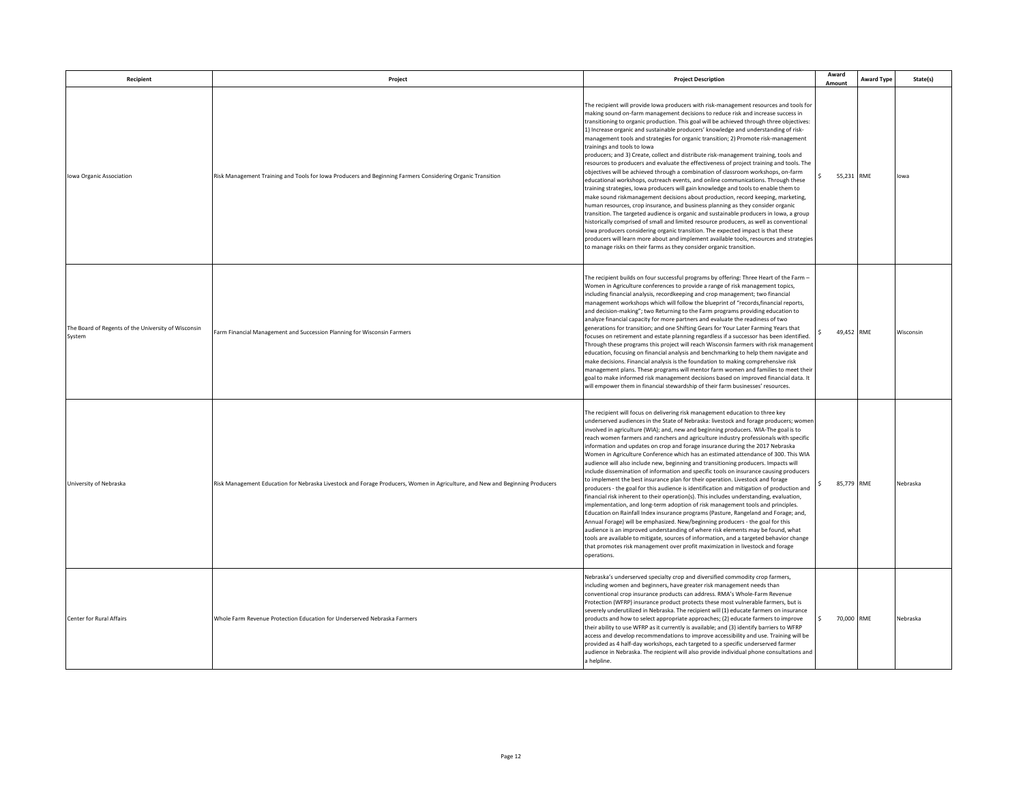| Recipient                                                     | Project                                                                                                                      | <b>Project Description</b>                                                                                                                                                                                                                                                                                                                                                                                                                                                                                                                                                                                                                                                                                                                                                                                                                                                                                                                                                                                                                                                                                                                                                                                                                                                                                                                                                                                                                                                                                                                                 | Award<br>Amount  | <b>Award Type</b> | State(s)  |
|---------------------------------------------------------------|------------------------------------------------------------------------------------------------------------------------------|------------------------------------------------------------------------------------------------------------------------------------------------------------------------------------------------------------------------------------------------------------------------------------------------------------------------------------------------------------------------------------------------------------------------------------------------------------------------------------------------------------------------------------------------------------------------------------------------------------------------------------------------------------------------------------------------------------------------------------------------------------------------------------------------------------------------------------------------------------------------------------------------------------------------------------------------------------------------------------------------------------------------------------------------------------------------------------------------------------------------------------------------------------------------------------------------------------------------------------------------------------------------------------------------------------------------------------------------------------------------------------------------------------------------------------------------------------------------------------------------------------------------------------------------------------|------------------|-------------------|-----------|
| Iowa Organic Association                                      | Risk Management Training and Tools for Iowa Producers and Beginning Farmers Considering Organic Transition                   | The recipient will provide lowa producers with risk-management resources and tools for<br>making sound on-farm management decisions to reduce risk and increase success in<br>transitioning to organic production. This goal will be achieved through three objectives:<br>1) Increase organic and sustainable producers' knowledge and understanding of risk-<br>management tools and strategies for organic transition; 2) Promote risk-management<br>trainings and tools to lowa<br>producers; and 3) Create, collect and distribute risk-management training, tools and<br>resources to producers and evaluate the effectiveness of project training and tools. The<br>objectives will be achieved through a combination of classroom workshops, on-farm<br>educational workshops, outreach events, and online communications. Through these<br>training strategies, lowa producers will gain knowledge and tools to enable them to<br>make sound riskmanagement decisions about production, record keeping, marketing,<br>human resources, crop insurance, and business planning as they consider organic<br>transition. The targeted audience is organic and sustainable producers in lowa, a group<br>historically comprised of small and limited resource producers, as well as conventional<br>lowa producers considering organic transition. The expected impact is that these<br>producers will learn more about and implement available tools, resources and strategies<br>to manage risks on their farms as they consider organic transition. | 55,231 RME       |                   | lowa      |
| The Board of Regents of the University of Wisconsin<br>System | Farm Financial Management and Succession Planning for Wisconsin Farmers                                                      | The recipient builds on four successful programs by offering: Three Heart of the Farm -<br>Women in Agriculture conferences to provide a range of risk management topics,<br>including financial analysis, recordkeeping and crop management; two financial<br>management workshops which will follow the blueprint of "records, financial reports,<br>and decision-making"; two Returning to the Farm programs providing education to<br>analyze financial capacity for more partners and evaluate the readiness of two<br>generations for transition; and one Shifting Gears for Your Later Farming Years that<br>focuses on retirement and estate planning regardless if a successor has been identified.<br>Through these programs this project will reach Wisconsin farmers with risk management<br>education, focusing on financial analysis and benchmarking to help them navigate and<br>make decisions. Financial analysis is the foundation to making comprehensive risk<br>management plans. These programs will mentor farm women and families to meet their<br>goal to make informed risk management decisions based on improved financial data. It<br>will empower them in financial stewardship of their farm businesses' resources.                                                                                                                                                                                                                                                                                                        | 49,452 RME       |                   | Wisconsin |
| University of Nebraska                                        | Risk Management Education for Nebraska Livestock and Forage Producers, Women in Agriculture, and New and Beginning Producers | The recipient will focus on delivering risk management education to three key<br>underserved audiences in the State of Nebraska: livestock and forage producers; women<br>involved in agriculture (WIA); and, new and beginning producers. WIA-The goal is to<br>reach women farmers and ranchers and agriculture industry professionals with specific<br>information and updates on crop and forage insurance during the 2017 Nebraska<br>Women in Agriculture Conference which has an estimated attendance of 300. This WIA<br>audience will also include new, beginning and transitioning producers. Impacts will<br>include dissemination of information and specific tools on insurance causing producers<br>to implement the best insurance plan for their operation. Livestock and forage<br>producers - the goal for this audience is identification and mitigation of production and<br>financial risk inherent to their operation(s). This includes understanding, evaluation,<br>implementation, and long-term adoption of risk management tools and principles.<br>Education on Rainfall Index insurance programs (Pasture, Rangeland and Forage; and,<br>Annual Forage) will be emphasized. New/beginning producers - the goal for this<br>audience is an improved understanding of where risk elements may be found, what<br>tools are available to mitigate, sources of information, and a targeted behavior change<br>that promotes risk management over profit maximization in livestock and forage<br>operations.                        | 85,779 RME       |                   | Nebraska  |
| Center for Rural Affairs                                      | Whole Farm Revenue Protection Education for Underserved Nebraska Farmers                                                     | Nebraska's underserved specialty crop and diversified commodity crop farmers,<br>including women and beginners, have greater risk management needs than<br>conventional crop insurance products can address. RMA's Whole-Farm Revenue<br>Protection (WFRP) insurance product protects these most vulnerable farmers, but is<br>severely underutilized in Nebraska. The recipient will (1) educate farmers on insurance<br>products and how to select appropriate approaches; (2) educate farmers to improve<br>their ability to use WFRP as it currently is available; and (3) identify barriers to WFRP<br>access and develop recommendations to improve accessibility and use. Training will be<br>provided as 4 half-day workshops, each targeted to a specific underserved farmer<br>audience in Nebraska. The recipient will also provide individual phone consultations and<br>a helpline.                                                                                                                                                                                                                                                                                                                                                                                                                                                                                                                                                                                                                                                           | S.<br>70,000 RME |                   | Nebraska  |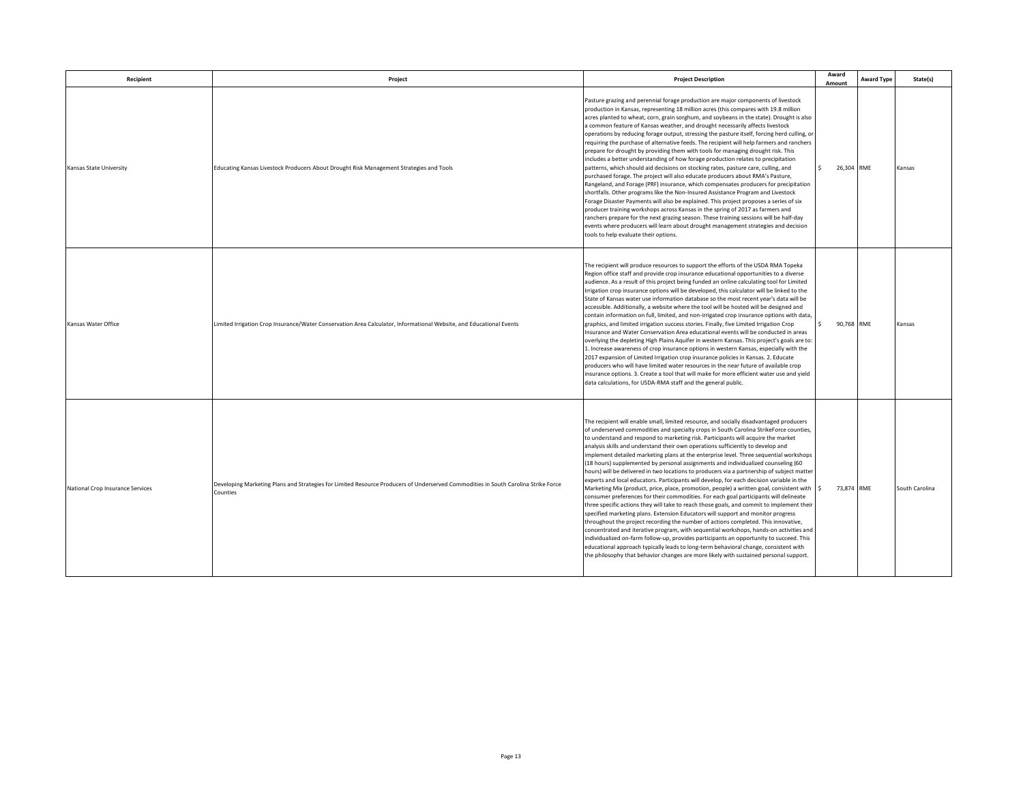| Recipient                        | Project                                                                                                                                        | <b>Project Description</b>                                                                                                                                                                                                                                                                                                                                                                                                                                                                                                                                                                                                                                                                                                                                                                                                                                                                                                                                                                                                                                                                                                                                                                                                                                                                                                                                                                                                                                                                                                                                               | Award<br>Amount            | <b>Award Type</b> | State(s)       |
|----------------------------------|------------------------------------------------------------------------------------------------------------------------------------------------|--------------------------------------------------------------------------------------------------------------------------------------------------------------------------------------------------------------------------------------------------------------------------------------------------------------------------------------------------------------------------------------------------------------------------------------------------------------------------------------------------------------------------------------------------------------------------------------------------------------------------------------------------------------------------------------------------------------------------------------------------------------------------------------------------------------------------------------------------------------------------------------------------------------------------------------------------------------------------------------------------------------------------------------------------------------------------------------------------------------------------------------------------------------------------------------------------------------------------------------------------------------------------------------------------------------------------------------------------------------------------------------------------------------------------------------------------------------------------------------------------------------------------------------------------------------------------|----------------------------|-------------------|----------------|
| Kansas State University          | Educating Kansas Livestock Producers About Drought Risk Management Strategies and Tools                                                        | Pasture grazing and perennial forage production are major components of livestock<br>production in Kansas, representing 18 million acres (this compares with 19.8 million<br>acres planted to wheat, corn, grain sorghum, and soybeans in the state). Drought is also<br>a common feature of Kansas weather, and drought necessarily affects livestock<br>operations by reducing forage output, stressing the pasture itself, forcing herd culling, or<br>requiring the purchase of alternative feeds. The recipient will help farmers and ranchers<br>prepare for drought by providing them with tools for managing drought risk. This<br>includes a better understanding of how forage production relates to precipitation<br>patterns, which should aid decisions on stocking rates, pasture care, culling, and<br>purchased forage. The project will also educate producers about RMA's Pasture,<br>Rangeland, and Forage (PRF) insurance, which compensates producers for precipitation<br>shortfalls. Other programs like the Non-Insured Assistance Program and Livestock<br>Forage Disaster Payments will also be explained. This project proposes a series of six<br>producer training workshops across Kansas in the spring of 2017 as farmers and<br>ranchers prepare for the next grazing season. These training sessions will be half-day<br>events where producers will learn about drought management strategies and decision<br>tools to help evaluate their options.                                                                                    | 26.304 RME<br>$\mathsf{s}$ |                   | Kansas         |
| Kansas Water Office              | Limited Irrigation Crop Insurance/Water Conservation Area Calculator, Informational Website, and Educational Events                            | The recipient will produce resources to support the efforts of the USDA RMA Topeka<br>Region office staff and provide crop insurance educational opportunities to a diverse<br>audience. As a result of this project being funded an online calculating tool for Limited<br>Irrigation crop insurance options will be developed, this calculator will be linked to the<br>State of Kansas water use information database so the most recent year's data will be<br>accessible. Additionally, a website where the tool will be hosted will be designed and<br>contain information on full, limited, and non-irrigated crop insurance options with data,<br>graphics, and limited irrigation success stories. Finally, five Limited Irrigation Crop<br>Insurance and Water Conservation Area educational events will be conducted in areas<br>overlying the depleting High Plains Aquifer in western Kansas. This project's goals are to<br>1. Increase awareness of crop insurance options in western Kansas, especially with the<br>2017 expansion of Limited Irrigation crop insurance policies in Kansas. 2. Educate<br>producers who will have limited water resources in the near future of available crop<br>insurance options. 3. Create a tool that will make for more efficient water use and yield<br>data calculations, for USDA-RMA staff and the general public.                                                                                                                                                                                             | 90,768 RME<br>S.           |                   | Kansas         |
| National Crop Insurance Services | Developing Marketing Plans and Strategies for Limited Resource Producers of Underserved Commodities in South Carolina Strike Force<br>Counties | The recipient will enable small, limited resource, and socially disadvantaged producers<br>of underserved commodities and specialty crops in South Carolina StrikeForce counties,<br>to understand and respond to marketing risk. Participants will acquire the market<br>analysis skills and understand their own operations sufficiently to develop and<br>implement detailed marketing plans at the enterprise level. Three sequential workshops<br>(18 hours) supplemented by personal assignments and individualized counseling (60<br>hours) will be delivered in two locations to producers via a partnership of subject matter<br>experts and local educators. Participants will develop, for each decision variable in the<br>Marketing Mix (product, price, place, promotion, people) a written goal, consistent with \$<br>consumer preferences for their commodities. For each goal participants will delineate<br>three specific actions they will take to reach those goals, and commit to implement their<br>specified marketing plans. Extension Educators will support and monitor progress<br>throughout the project recording the number of actions completed. This innovative,<br>concentrated and iterative program, with sequential workshops, hands-on activities and<br>individualized on-farm follow-up, provides participants an opportunity to succeed. This<br>educational approach typically leads to long-term behavioral change, consistent with<br>the philosophy that behavior changes are more likely with sustained personal support. | 73,874 RME                 |                   | South Carolina |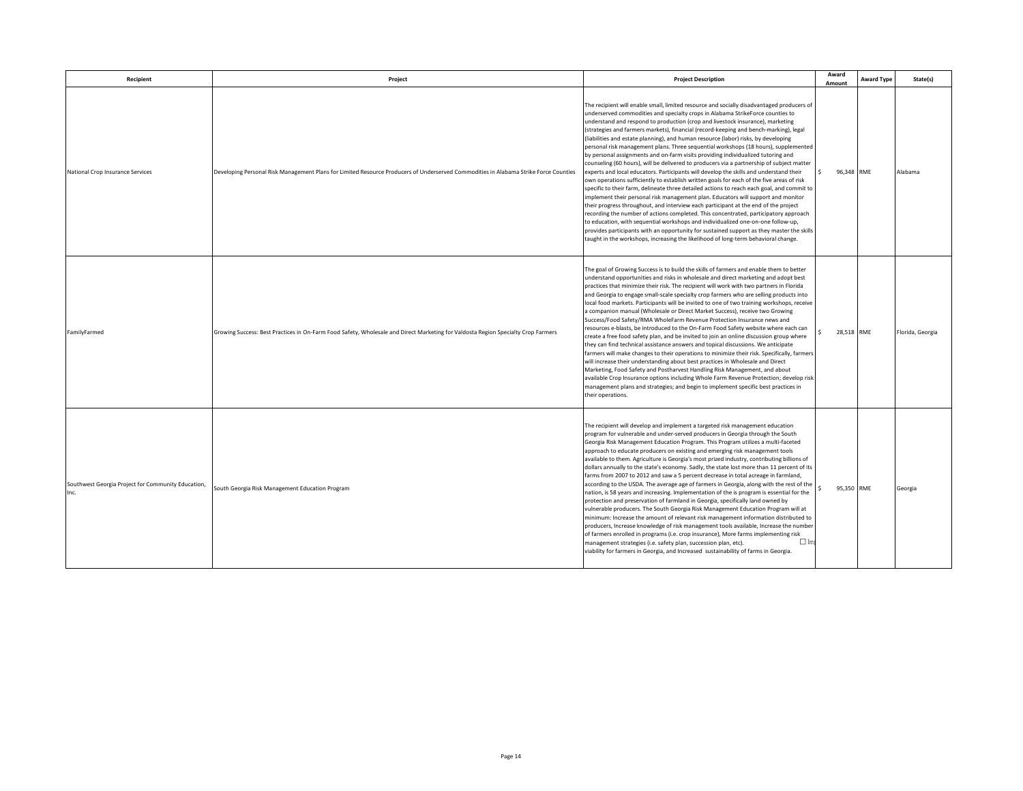| Recipient                                          | Project                                                                                                                              | <b>Project Description</b>                                                                                                                                                                                                                                                                                                                                                                                                                                                                                                                                                                                                                                                                                                                                                                                                                                                                                                                                                                                                                                                                                                                                                                                                                                                                                                                                                                                                                                                                                                                          | Award<br>Amount | <b>Award Type</b> | State(s)         |
|----------------------------------------------------|--------------------------------------------------------------------------------------------------------------------------------------|-----------------------------------------------------------------------------------------------------------------------------------------------------------------------------------------------------------------------------------------------------------------------------------------------------------------------------------------------------------------------------------------------------------------------------------------------------------------------------------------------------------------------------------------------------------------------------------------------------------------------------------------------------------------------------------------------------------------------------------------------------------------------------------------------------------------------------------------------------------------------------------------------------------------------------------------------------------------------------------------------------------------------------------------------------------------------------------------------------------------------------------------------------------------------------------------------------------------------------------------------------------------------------------------------------------------------------------------------------------------------------------------------------------------------------------------------------------------------------------------------------------------------------------------------------|-----------------|-------------------|------------------|
| National Crop Insurance Services                   | Developing Personal Risk Management Plans for Limited Resource Producers of Underserved Commodities in Alabama Strike Force Counties | The recipient will enable small, limited resource and socially disadvantaged producers of<br>underserved commodities and specialty crops in Alabama StrikeForce counties to<br>understand and respond to production (crop and livestock insurance), marketing<br>(strategies and farmers markets), financial (record-keeping and bench-marking), legal<br>(liabilities and estate planning), and human resource (labor) risks, by developing<br>personal risk management plans. Three sequential workshops (18 hours), supplemented<br>by personal assignments and on-farm visits providing individualized tutoring and<br>counseling (60 hours), will be delivered to producers via a partnership of subject matter<br>experts and local educators. Participants will develop the skills and understand their<br>own operations sufficiently to establish written goals for each of the five areas of risk<br>specific to their farm, delineate three detailed actions to reach each goal, and commit to<br>implement their personal risk management plan. Educators will support and monitor<br>their progress throughout, and interview each participant at the end of the project<br>recording the number of actions completed. This concentrated, participatory approach<br>to education, with sequential workshops and individualized one-on-one follow-up,<br>provides participants with an opportunity for sustained support as they master the skills<br>aught in the workshops, increasing the likelihood of long-term behavioral change. | 96,348 RME      |                   | Alabama          |
| FamilyFarmed                                       | Growing Success: Best Practices in On-Farm Food Safety, Wholesale and Direct Marketing for Valdosta Region Specialty Crop Farmers    | The goal of Growing Success is to build the skills of farmers and enable them to better<br>understand opportunities and risks in wholesale and direct marketing and adopt best<br>practices that minimize their risk. The recipient will work with two partners in Florida<br>and Georgia to engage small-scale specialty crop farmers who are selling products into<br>local food markets. Participants will be invited to one of two training workshops, receive<br>a companion manual (Wholesale or Direct Market Success), receive two Growing<br>Success/Food Safety/RMA WholeFarm Revenue Protection Insurance news and<br>resources e-blasts, be introduced to the On-Farm Food Safety website where each can<br>create a free food safety plan, and be invited to join an online discussion group where<br>they can find technical assistance answers and topical discussions. We anticipate<br>farmers will make changes to their operations to minimize their risk. Specifically, farmers<br>will increase their understanding about best practices in Wholesale and Direct<br>Marketing, Food Safety and Postharvest Handling Risk Management, and about<br>available Crop Insurance options including Whole Farm Revenue Protection; develop risk<br>management plans and strategies; and begin to implement specific best practices in<br>their operations.                                                                                                                                                                            | 28,518 RME      |                   | Florida, Georgia |
| Southwest Georgia Project for Community Education, | South Georgia Risk Management Education Program                                                                                      | The recipient will develop and implement a targeted risk management education<br>program for vulnerable and under-served producers in Georgia through the South<br>Georgia Risk Management Education Program. This Program utilizes a multi-faceted<br>approach to educate producers on existing and emerging risk management tools<br>available to them. Agriculture is Georgia's most prized industry, contributing billions of<br>dollars annually to the state's economy. Sadly, the state lost more than 11 percent of its<br>farms from 2007 to 2012 and saw a 5 percent decrease in total acreage in farmland,<br>according to the USDA. The average age of farmers in Georgia, along with the rest of the<br>nation, is 58 years and increasing. Implementation of the is program is essential for the<br>protection and preservation of farmland in Georgia, specifically land owned by<br>vulnerable producers. The South Georgia Risk Management Education Program will at<br>minimum: Increase the amount of relevant risk management information distributed to<br>producers, Increase knowledge of risk management tools available, Increase the number<br>of farmers enrolled in programs (i.e. crop insurance), More farms implementing risk<br>$\Box$ In<br>management strategies (i.e. safety plan, succession plan, etc).<br>viability for farmers in Georgia, and Increased sustainability of farms in Georgia.                                                                                                                 | 95,350 RME      |                   | Georgia          |